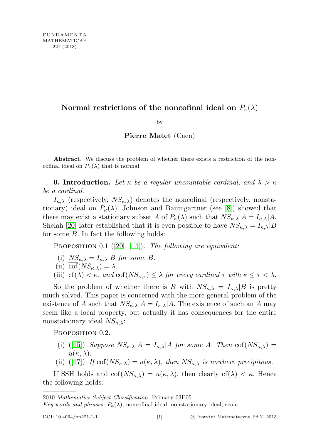# Normal restrictions of the noncofinal ideal on  $P_{\kappa}(\lambda)$

by

## Pierre Matet (Caen)

Abstract. We discuss the problem of whether there exists a restriction of the noncofinal ideal on  $P_{\kappa}(\lambda)$  that is normal.

**0.** Introduction. Let  $\kappa$  be a regular uncountable cardinal, and  $\lambda > \kappa$ be a cardinal.

 $I_{\kappa,\lambda}$  (respectively,  $NS_{\kappa,\lambda}$ ) denotes the noncofinal (respectively, nonstationary) ideal on  $P_{\kappa}(\lambda)$ . Johnson and Baumgartner (see [\[8\]](#page-21-0)) showed that there may exist a stationary subset A of  $P_{\kappa}(\lambda)$  such that  $NS_{\kappa,\lambda}|A = I_{\kappa,\lambda}|A$ . Shelah [\[20\]](#page-21-1) later established that it is even possible to have  $NS_{\kappa,\lambda} = I_{\kappa,\lambda}|B|$ for some B. In fact the following holds:

PROPOSITION  $0.1$  ([\[20\]](#page-21-1), [\[14\]](#page-21-2)). The following are equivalent:

- (i)  $NS_{\kappa,\lambda} = I_{\kappa,\lambda} |B$  for some B.
- (ii)  $\overline{\text{cof}}(NS_{\kappa,\lambda}) = \lambda$ .
- (iii) cf( $\lambda$ ) <  $\kappa$ , and  $\overline{\text{cof}}(NS_{\kappa,\tau}) \leq \lambda$  for every cardinal  $\tau$  with  $\kappa \leq \tau < \lambda$ .

So the problem of whether there is B with  $NS_{\kappa,\lambda} = I_{\kappa,\lambda}|B$  is pretty much solved. This paper is concerned with the more general problem of the existence of A such that  $NS_{\kappa,\lambda}|A = I_{\kappa,\lambda}|A$ . The existence of such an A may seem like a local property, but actually it has consequences for the entire nonstationary ideal  $NS_{\kappa,\lambda}$ :

PROPOSITION 0.2.

- (i) ([\[15\]](#page-21-3)) Suppose  $NS_{\kappa,\lambda}|A = I_{\kappa,\lambda}|A|$  for some A. Then  $\text{cof}(NS_{\kappa,\lambda}) =$  $u(\kappa, \lambda)$ .
- (ii) ([\[17\]](#page-21-4)) If  $\text{cof}(NS_{\kappa,\lambda}) = u(\kappa,\lambda)$ , then  $NS_{\kappa,\lambda}$  is nowhere precipitous.

If SSH holds and  $\text{cof}(NS_{\kappa,\lambda}) = u(\kappa,\lambda)$ , then clearly  $\text{cf}(\lambda) < \kappa$ . Hence the following holds:

<sup>2010</sup> Mathematics Subject Classification: Primary 03E05.

Key words and phrases:  $P_{\kappa}(\lambda)$ , noncofinal ideal, nonstationary ideal, scale.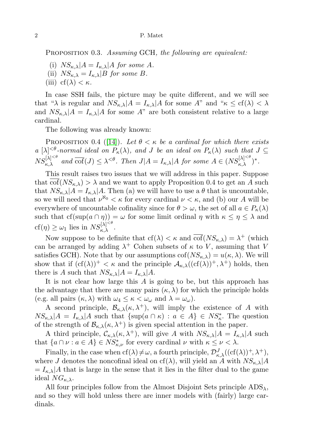PROPOSITION 0.3. Assuming GCH, the following are equivalent:

- (i)  $NS_{\kappa,\lambda}|A = I_{\kappa,\lambda}|A$  for some A.
- (ii)  $NS_{\kappa,\lambda} = I_{\kappa,\lambda} |B$  for some B.
- (iii) cf( $\lambda$ ) <  $\kappa$ .

In case SSH fails, the picture may be quite different, and we will see that " $\lambda$  is regular and  $NS_{\kappa,\lambda}|A = I_{\kappa,\lambda}|A|$  for some A" and " $\kappa \leq cf(\lambda) < \lambda$ and  $NS_{\kappa,\lambda}|A = I_{\kappa,\lambda}|A|$  for some A" are both consistent relative to a large cardinal.

The following was already known:

PROPOSITION 0.4 ([\[14\]](#page-21-2)). Let  $\theta < \kappa$  be a cardinal for which there exists a  $[\lambda]^{<\theta}$ -normal ideal on  $P_{\kappa}(\lambda)$ , and J be an ideal on  $P_{\kappa}(\lambda)$  such that  $J \subseteq$  $NS_{\kappa,\lambda}^{[\lambda]^{<\theta}}$  and  $\overline{\text{cof}}(J) \leq \lambda^{<\theta}$ . Then  $J|A = I_{\kappa,\lambda}|A$  for some  $A \in (NS_{\kappa,\lambda}^{[\lambda]^{<\theta}})^*$ .

This result raises two issues that we will address in this paper. Suppose that  $\text{cof}(NS_{\kappa,\lambda}) > \lambda$  and we want to apply Proposition 0.4 to get an A such that  $NS_{\kappa,\lambda}|A = I_{\kappa,\lambda}|A$ . Then (a) we will have to use a  $\theta$  that is uncountable, so we will need that  $\nu^{\aleph_0} < \kappa$  for every cardinal  $\nu < \kappa$ , and (b) our A will be everywhere of uncountable cofinality since for  $\theta > \omega$ , the set of all  $a \in P_{\kappa}(\lambda)$ such that  $cf(\sup(a \cap \eta)) = \omega$  for some limit ordinal  $\eta$  with  $\kappa \leq \eta \leq \lambda$  and  $cf(\eta) \geq \omega_1$  lies in  $NS_{\kappa,\lambda}^{[\lambda]<\theta}$ .

Now suppose to be definite that  $cf(\lambda) < \kappa$  and  $\overline{cof}(NS_{\kappa,\lambda}) = \lambda^+$  (which can be arranged by adding  $\lambda^+$  Cohen subsets of  $\kappa$  to V, assuming that V satisfies GCH). Note that by our assumptions  $\text{cof}(NS_{\kappa,\lambda}) = u(\kappa,\lambda)$ . We will show that if  $(cf(\lambda))^+ < \kappa$  and the principle  $\mathcal{A}_{\kappa,\lambda}((cf(\lambda))^+, \lambda^+)$  holds, then there is A such that  $NS_{\kappa,\lambda}|A = I_{\kappa,\lambda}|A$ .

It is not clear how large this A is going to be, but this approach has the advantage that there are many pairs  $(\kappa, \lambda)$  for which the principle holds (e.g. all pairs  $(\kappa, \lambda)$  with  $\omega_4 \leq \kappa < \omega_\omega$  and  $\lambda = \omega_\omega$ ).

A second principle,  $\mathcal{B}_{\kappa,\lambda}(\kappa,\lambda^+),$  will imply the existence of A with  $NS_{\kappa,\lambda}|A = I_{\kappa,\lambda}|A$  such that  $\{\sup(a \cap \kappa) : a \in A\} \in NS_{\kappa}^*$ . The question of the strength of  $\mathcal{B}_{\kappa,\lambda}(\kappa,\lambda^+)$  is given special attention in the paper.

A third principle,  $\mathcal{C}_{\kappa,\lambda}(\kappa,\lambda^+)$ , will give A with  $NS_{\kappa,\lambda}|A = I_{\kappa,\lambda}|A|$  such that  $\{a \cap \nu : a \in A\} \in NS^*_{\kappa,\nu}$  for every cardinal  $\nu$  with  $\kappa \leq \nu < \lambda$ .

Finally, in the case when  $cf(\lambda) \neq \omega$ , a fourth principle,  $\mathcal{D}^J_{\kappa,\lambda}((cf(\lambda))^+, \lambda^+),$ where J denotes the noncofinal ideal on cf( $\lambda$ ), will yield an A with  $NS_{\kappa,\lambda}|A$  $= I_{\kappa,\lambda} A$  that is large in the sense that it lies in the filter dual to the game ideal  $NG_{\kappa,\lambda}$ .

All four principles follow from the Almost Disjoint Sets principle  $ADS_{\lambda}$ , and so they will hold unless there are inner models with (fairly) large cardinals.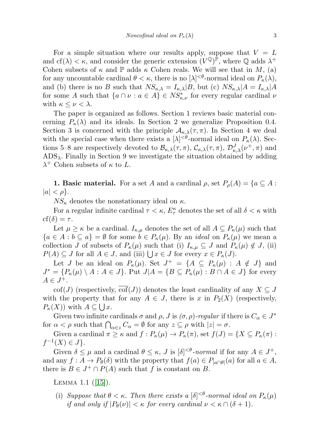For a simple situation where our results apply, suppose that  $V = L$ and cf( $\lambda$ )  $\lt$   $\kappa$ , and consider the generic extension  $(V^{\mathbb{Q}})^{\mathbb{P}}$ , where  $\mathbb{Q}$  adds  $\lambda^+$ Cohen subsets of  $\kappa$  and  $\mathbb P$  adds  $\kappa$  Cohen reals. We will see that in M, (a) for any uncountable cardinal  $\theta < \kappa$ , there is no  $[\lambda]^{<\theta}$ -normal ideal on  $P_{\kappa}(\lambda)$ , and (b) there is no B such that  $NS_{\kappa,\lambda} = I_{\kappa,\lambda}|B$ , but (c)  $NS_{\kappa,\lambda}|A = I_{\kappa,\lambda}|A$ for some A such that  $\{a \cap \nu : a \in A\} \in NS^*_{\kappa,\nu}$  for every regular cardinal  $\nu$ with  $\kappa \leq \nu < \lambda$ .

The paper is organized as follows. Section 1 reviews basic material concerning  $P_{\kappa}(\lambda)$  and its ideals. In Section 2 we generalize Proposition 0.4. Section 3 is concerned with the principle  $\mathcal{A}_{\kappa,\lambda}(\tau,\pi)$ . In Section 4 we deal with the special case when there exists a  $[\lambda]^{<\theta}$ -normal ideal on  $P_{\kappa}(\lambda)$ . Sections 5–8 are respectively devoted to  $\mathcal{B}_{\kappa,\lambda}(\tau,\pi)$ ,  $\mathcal{C}_{\kappa,\lambda}(\tau,\pi)$ ,  $\mathcal{D}_{\kappa,\lambda}^J(\nu^+,\pi)$  and  $ADS_{\lambda}$ . Finally in Section 9 we investigate the situation obtained by adding  $\lambda^+$  Cohen subsets of  $\kappa$  to L.

**1. Basic material.** For a set A and a cardinal  $\rho$ , set  $P_{\rho}(A) = \{a \subseteq A :$  $|a| < \rho$ .

 $NS_{\kappa}$  denotes the nonstationary ideal on  $\kappa$ .

For a regular infinite cardinal  $\tau < \kappa$ ,  $E_{\tau}^{\kappa}$  denotes the set of all  $\delta < \kappa$  with  $cf(\delta) = \tau$ .

Let  $\mu \geq \kappa$  be a cardinal.  $I_{\kappa,\mu}$  denotes the set of all  $A \subseteq P_{\kappa}(\mu)$  such that  ${a \in A : b \subseteq a} = \emptyset$  for some  $b \in P_{\kappa}(\mu)$ . By an *ideal* on  $P_{\kappa}(\mu)$  we mean a collection J of subsets of  $P_{\kappa}(\mu)$  such that (i)  $I_{\kappa,\mu} \subseteq J$  and  $P_{\kappa}(\mu) \notin J$ , (ii)  $P(A) \subseteq J$  for all  $A \in J$ , and (iii)  $\bigcup x \in J$  for every  $x \in P_{\kappa}(J)$ .

Let J be an ideal on  $P_{\kappa}(\mu)$ . Set  $J^+ = \{A \subseteq P_{\kappa}(\mu) : A \notin J\}$  and  $J^* = \{P_\kappa(\mu) \setminus A : A \in J\}$ . Put  $J|A = \{B \subseteq P_\kappa(\mu) : B \cap A \in J\}$  for every  $A \in J^+$ .

cof(J) (respectively, cof(J)) denotes the least cardinality of any  $X \subseteq J$ with the property that for any  $A \in J$ , there is x in  $P_2(X)$  (respectively,  $P_{\kappa}(X)$ ) with  $A \subseteq \bigcup x$ .

Given two infinite cardinals  $\sigma$  and  $\rho$ , J is  $(\sigma, \rho)$ -regular if there is  $C_{\alpha} \in J^*$ for  $\alpha < \rho$  such that  $\bigcap_{\alpha \in z} C_{\alpha} = \emptyset$  for any  $z \subseteq \rho$  with  $|z| = \sigma$ .

Given a cardinal  $\pi \geq \kappa$  and  $f: P_{\kappa}(\mu) \to P_{\kappa}(\pi)$ , set  $f(J) = \{X \subseteq P_{\kappa}(\pi)$ :  $f^{-1}(X) \in J$ .

Given  $\delta \leq \mu$  and a cardinal  $\theta \leq \kappa$ , J is  $[\delta]^{< \theta}$ -normal if for any  $A \in J^+$ , and any  $f: A \to P_\theta(\delta)$  with the property that  $f(a) \in P_{|a \cap \theta|}(a)$  for all  $a \in A$ , there is  $B \in J^+ \cap P(A)$  such that f is constant on B.

Lemma 1.1 ([\[15\]](#page-21-3)).

(i) Suppose that  $\theta < \kappa$ . Then there exists a  $[\delta]^{< \theta}$ -normal ideal on  $P_{\kappa}(\mu)$ if and only if  $|P_{\theta}(\nu)| < \kappa$  for every cardinal  $\nu < \kappa \cap (\delta + 1)$ .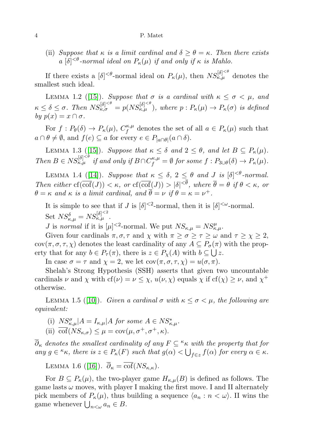(ii) Suppose that  $\kappa$  is a limit cardinal and  $\delta \ge \theta = \kappa$ . Then there exists a  $[\delta]^{<\theta}$ -normal ideal on  $P_{\kappa}(\mu)$  if and only if  $\kappa$  is Mahlo.

If there exists a  $[\delta]^{<\theta}$ -normal ideal on  $P_{\kappa}(\mu)$ , then  $NS_{\kappa,\mu}^{[\delta]<^{\theta}}$  denotes the smallest such ideal.

LEMMA 1.2 ([\[15\]](#page-21-3)). Suppose that  $\sigma$  is a cardinal with  $\kappa \leq \sigma < \mu$ , and  $\kappa \leq \delta \leq \sigma$ . Then  $NS_{\kappa,\sigma}^{[\delta]^{<\theta}} = p(NS_{\kappa,\mu}^{[\delta]^{<\theta}})$ , where  $p : P_{\kappa}(\mu) \to P_{\kappa}(\sigma)$  is defined by  $p(x) = x \cap \sigma$ .

For  $f: P_{\theta}(\delta) \to P_{\kappa}(\mu), C_f^{\kappa,\mu}$  $f_f^{\kappa,\mu}$  denotes the set of all  $a \in P_{\kappa}(\mu)$  such that  $a \cap \theta \neq \emptyset$ , and  $f(e) \subseteq a$  for every  $e \in P_{|a \cap \theta|}(a \cap \delta)$ .

LEMMA 1.3 ([\[15\]](#page-21-3)). Suppose that  $\kappa \leq \delta$  and  $2 \leq \theta$ , and let  $B \subseteq P_{\kappa}(\mu)$ . Then  $B \in NS_{\kappa,\mu}^{[\delta]^{<\theta}}$  if and only if  $B \cap C_f^{\kappa,\mu} = \emptyset$  for some  $f : P_{3\cup\theta}(\delta) \to P_{\kappa}(\mu)$ .

LEMMA 1.4 ([\[14\]](#page-21-2)). Suppose that  $\kappa \leq \delta$ ,  $2 \leq \theta$  and J is  $[\delta]^{<\theta}$ -normal. Then either  $cf(\overline{cof}(J)) < \kappa$ , or  $cf(\overline{cof}(J)) > |\delta|^{<\theta}$ , where  $\overline{\theta} = \theta$  if  $\theta < \kappa$ , or  $\theta = \kappa$  and  $\kappa$  is a limit cardinal, and  $\overline{\theta} = \nu$  if  $\theta = \kappa = \nu^{+}$ .

It is simple to see that if J is  $[\delta]^{<2}$ -normal, then it is  $[\delta]^{<\omega}$ -normal. Set  $NS_{\kappa,\mu}^{\delta} = NS_{\kappa,\mu}^{[\delta]^{<2}}$ .

*J* is normal if it is  $[\mu]^{< 2}$ -normal. We put  $NS_{\kappa,\mu} = NS_{\kappa,\mu}^{\mu}$ .

Given four cardinals  $\pi, \sigma, \tau$  and  $\chi$  with  $\pi \geq \sigma \geq \tau \geq \omega$  and  $\tau \geq \chi \geq 2$ ,  $cov(\pi, \sigma, \tau, \chi)$  denotes the least cardinality of any  $A \subseteq P_{\sigma}(\pi)$  with the property that for any  $b \in P_\tau(\pi)$ , there is  $z \in P_\chi(A)$  with  $b \subseteq \bigcup z$ .

In case  $\sigma = \tau$  and  $\chi = 2$ , we let  $\text{cov}(\pi, \sigma, \tau, \chi) = u(\sigma, \pi)$ .

Shelah's Strong Hypothesis (SSH) asserts that given two uncountable cardinals  $\nu$  and  $\chi$  with  $cf(\nu) = \nu \leq \chi$ ,  $u(\nu, \chi)$  equals  $\chi$  if  $cf(\chi) \geq \nu$ , and  $\chi^+$ otherwise.

LEMMA 1.5 ([\[10\]](#page-21-5)). Given a cardinal  $\sigma$  with  $\kappa \leq \sigma < \mu$ , the following are equivalent:

- (i)  $NS_{\kappa,\mu}^{\sigma}|A = I_{\kappa,\mu}|A$  for some  $A \in NS_{\kappa,\mu}^*$ .
- (ii)  $\overline{\text{cof}}(NS_{\kappa,\sigma}) \leq \mu = \text{cov}(\mu, \sigma^+, \sigma^+, \kappa).$

 $\overline{\partial}_{\kappa}$  denotes the smallest cardinality of any  $F \subseteq K_{\kappa}$  with the property that for any  $g \in \kappa_{\kappa}$ , there is  $z \in P_{\kappa}(F)$  such that  $g(\alpha) < \bigcup_{f \in z} f(\alpha)$  for every  $\alpha \in \kappa$ .

LEMMA 1.6 ([\[16\]](#page-21-6)).  $\overline{\partial}_{\kappa} = \overline{\text{cof}}(NS_{\kappa,\kappa}).$ 

For  $B \subseteq P_{\kappa}(\mu)$ , the two-player game  $H_{\kappa,\mu}(B)$  is defined as follows. The game lasts  $\omega$  moves, with player I making the first move. I and II alternately pick members of  $P_{\kappa}(\mu)$ , thus building a sequence  $\langle a_n : n < \omega \rangle$ . If wins the game whenever  $\bigcup_{n<\omega} a_n \in B$ .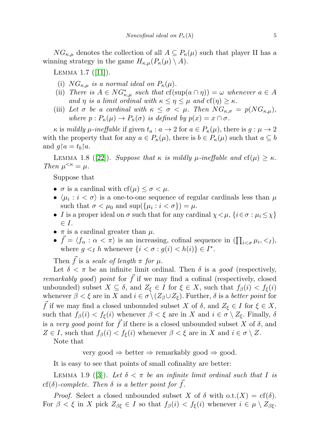$NG_{\kappa,\mu}$  denotes the collection of all  $A \subseteq P_{\kappa}(\mu)$  such that player II has a winning strategy in the game  $H_{\kappa,\mu}(P_{\kappa}(\mu) \setminus A)$ .

Lemma 1.7 ([\[11\]](#page-21-7)).

- (i)  $NG_{\kappa,\mu}$  is a normal ideal on  $P_{\kappa}(\mu)$ .
- (ii) There is  $A \in NG_{\kappa,\mu}^*$  such that  $cf(\sup(a \cap \eta)) = \omega$  whenever  $a \in A$ and  $\eta$  is a limit ordinal with  $\kappa \leq \eta \leq \mu$  and  $cf(\eta) \geq \kappa$ .
- (iii) Let  $\sigma$  be a cardinal with  $\kappa \leq \sigma < \mu$ . Then  $NG_{\kappa,\sigma} = p(NG_{\kappa,\mu}),$ where  $p: P_{\kappa}(\mu) \to P_{\kappa}(\sigma)$  is defined by  $p(x) = x \cap \sigma$ .

 $\kappa$  is mildly  $\mu$ -ineffable if given  $t_a: a \to 2$  for  $a \in P_{\kappa}(\mu)$ , there is  $g: \mu \to 2$ with the property that for any  $a \in P_{\kappa}(\mu)$ , there is  $b \in P_{\kappa}(\mu)$  such that  $a \subseteq b$ and  $g \upharpoonright a = t_b \upharpoonright a$ .

LEMMA 1.8 ([\[22\]](#page-21-8)). Suppose that  $\kappa$  is mildly  $\mu$ -ineffable and  $cf(\mu) \geq \kappa$ . Then  $\mu^{<\kappa} = \mu$ .

Suppose that

- $\sigma$  is a cardinal with  $cf(\mu) \leq \sigma < \mu$ .
- $\langle \mu_i : i < \sigma \rangle$  is a one-to-one sequence of regular cardinals less than  $\mu$ such that  $\sigma < \mu_0$  and  $\sup(\{\mu_i : i < \sigma\}) = \mu$ .
- I is a proper ideal on  $\sigma$  such that for any cardinal  $\chi < \mu$ ,  $\{i \in \sigma : \mu_i \leq \chi\}$  $\in I$ .
- $\pi$  is a cardinal greater than  $\mu$ .
- $\vec{f} = \langle f_{\alpha} : \alpha < \pi \rangle$  is an increasing, cofinal sequence in  $\left( \prod_{i < \sigma} \mu_i, \langle \cdot \rangle \right)$ where  $g \lt_I h$  whenever  $\{i \lt \sigma : g(i) \lt h(i)\} \in I^*$ .

Then f is a scale of length  $\pi$  for  $\mu$ .

Let  $\delta < \pi$  be an infinite limit ordinal. Then  $\delta$  is a good (respectively, *remarkably good) point* for  $\overrightarrow{f}$  if we may find a cofinal (respectively, closed unbounded) subset  $X \subseteq \delta$ , and  $Z_{\xi} \in I$  for  $\xi \in X$ , such that  $f_{\beta}(i) < f_{\xi}(i)$ whenever  $\beta < \xi$  are in X and  $i \in \sigma \setminus (Z_{\beta} \cup Z_{\xi})$ . Further,  $\delta$  is a better point for  $\bar{f}$  if we may find a closed unbounded subset X of  $\delta$ , and  $Z_{\xi} \in I$  for  $\xi \in X$ , such that  $f_{\beta}(i) < f_{\xi}(i)$  whenever  $\beta < \xi$  are in X and  $i \in \sigma \setminus Z_{\xi}$ . Finally,  $\delta$ is a very good point for  $\vec{f}$  if there is a closed unbounded subset X of  $\delta$ , and  $Z \in I$ , such that  $f_{\beta}(i) < f_{\xi}(i)$  whenever  $\beta < \xi$  are in X and  $i \in \sigma \setminus Z$ .

Note that

very good ⇒ better ⇒ remarkably good ⇒ good.

It is easy to see that points of small cofinality are better:

LEMMA 1.9 ([\[3\]](#page-21-9)). Let  $\delta < \pi$  be an infinite limit ordinal such that I is cf( $\delta$ )-complete. Then  $\delta$  is a better point for f.

*Proof.* Select a closed unbounded subset X of  $\delta$  with o.t. $(X) = cf(\delta)$ . For  $\beta < \xi$  in X pick  $Z_{\beta\xi} \in I$  so that  $f_{\beta}(i) < f_{\xi}(i)$  whenever  $i \in \mu \setminus Z_{\beta\xi}$ .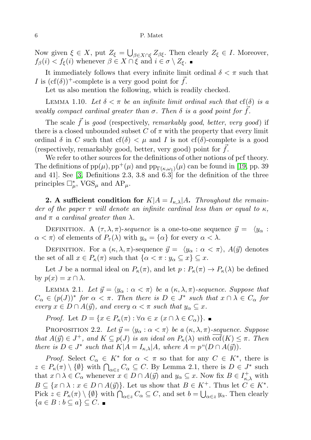Now given  $\xi \in X$ , put  $Z_{\xi} = \bigcup_{\beta \in X \cap \xi} Z_{\beta \xi}$ . Then clearly  $Z_{\xi} \in I$ . Moreover,  $f_{\beta}(i) < f_{\xi}(i)$  whenever  $\beta \in X \cap \xi$  and  $i \in \sigma \setminus Z_{\xi}$ .

It immediately follows that every infinite limit ordinal  $\delta < \pi$  such that I is  $(cf(\delta))^{+}$ -complete is a very good point for  $\vec{f}$ .

Let us also mention the following, which is readily checked.

LEMMA 1.10. Let  $\delta < \pi$  be an infinite limit ordinal such that cf( $\delta$ ) is a weakly compact cardinal greater than  $\sigma$ . Then  $\delta$  is a good point for  $\bar{f}$ .

The scale  $\vec{f}$  is good (respectively, remarkably good, better, very good) if there is a closed unbounded subset C of  $\pi$  with the property that every limit ordinal  $\delta$  in C such that cf( $\delta$ )  $\lt \mu$  and I is not cf( $\delta$ )-complete is a good (respectively, remarkably good, better, very good) point for  $f$ .

We refer to other sources for the definitions of other notions of pcf theory. The definitions of  $pp(\mu)$ ,  $pp^+(\mu)$  and  $pp_{\Gamma(\kappa,\omega_1)}(\mu)$  can be found in [\[19,](#page-21-10) pp. 39] and 41]. See [\[3,](#page-21-9) Definitions 2.3, 3.8 and 6.3] for the definition of the three principles  $\Box^*_{\mu}$ , VGS<sub> $\mu$ </sub> and AP<sub> $\mu$ </sub>.

**2.** A sufficient condition for  $K|A = I_{\kappa,\lambda}|A$ . Throughout the remainder of the paper  $\tau$  will denote an infinite cardinal less than or equal to  $\kappa$ , and  $\pi$  a cardinal greater than  $\lambda$ .

DEFINITION. A  $(\tau, \lambda, \pi)$ -sequence is a one-to-one sequence  $\vec{y} = \langle y_{\alpha} :$  $\alpha < \pi$ ) of elements of  $P_{\tau}(\lambda)$  with  $y_{\alpha} = {\alpha}$  for every  $\alpha < \lambda$ .

DEFINITION. For a  $(\kappa, \lambda, \pi)$ -sequence  $\vec{y} = \langle y_\alpha : \alpha < \pi \rangle$ ,  $A(\vec{y})$  denotes the set of all  $x \in P_{\kappa}(\pi)$  such that  $\{\alpha < \pi : y_{\alpha} \subseteq x\} \subseteq x$ .

Let J be a normal ideal on  $P_{\kappa}(\pi)$ , and let  $p: P_{\kappa}(\pi) \to P_{\kappa}(\lambda)$  be defined by  $p(x) = x \cap \lambda$ .

LEMMA 2.1. Let  $\vec{y} = \langle y_{\alpha} : \alpha < \pi \rangle$  be a  $(\kappa, \lambda, \pi)$ -sequence. Suppose that  $C_{\alpha} \in (p(J))^*$  for  $\alpha < \pi$ . Then there is  $D \in J^*$  such that  $x \cap \lambda \in C_{\alpha}$  for every  $x \in D \cap A(\vec{y})$ , and every  $\alpha < \pi$  such that  $y_{\alpha} \subseteq x$ .

*Proof.* Let  $D = \{x \in P_{\kappa}(\pi) : \forall \alpha \in x \ (x \cap \lambda \in C_{\alpha})\}\.$ 

PROPOSITION 2.2. Let  $\vec{y} = \langle y_{\alpha} : \alpha < \pi \rangle$  be a  $(\kappa, \lambda, \pi)$ -sequence. Suppose that  $A(\vec{y}) \in J^+$ , and  $K \subseteq p(J)$  is an ideal on  $P_{\kappa}(\lambda)$  with  $\overline{\text{cof}}(K) \leq \pi$ . Then there is  $D \in J^*$  such that  $K|A = I_{\kappa,\lambda}|A$ , where  $A = p^{\kappa}(D \cap A(\vec{y}))$ .

*Proof.* Select  $C_{\alpha} \in K^*$  for  $\alpha < \pi$  so that for any  $C \in K^*$ , there is  $z \in P_{\kappa}(\pi) \setminus \{\emptyset\}$  with  $\bigcap_{\alpha \in z} C_{\alpha} \subseteq C$ . By Lemma 2.1, there is  $D \in J^*$  such that  $x \cap \lambda \in C_\alpha$  whenever  $x \in D \cap A(\vec{y})$  and  $y_\alpha \subseteq x$ . Now fix  $B \in I^+_{\kappa,\lambda}$  with  $B \subseteq \{x \cap \lambda : x \in D \cap A(\vec{y})\}.$  Let us show that  $B \in K^+$ . Thus let  $C \in K^*$ . Pick  $z \in P_{\kappa}(\pi) \setminus \{ \emptyset \}$  with  $\bigcap_{\alpha \in z} C_{\alpha} \subseteq C$ , and set  $b = \bigcup_{\alpha \in z} y_{\alpha}$ . Then clearly  ${a \in B : b \subseteq a} \subseteq C.$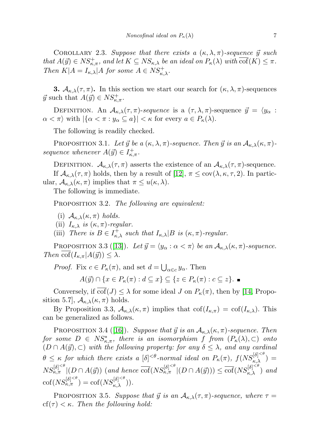COROLLARY 2.3. Suppose that there exists a  $(\kappa, \lambda, \pi)$ -sequence  $\vec{y}$  such that  $A(\vec{y}) \in NS_{\kappa,\pi}^+$ , and let  $K \subseteq NS_{\kappa,\lambda}$  be an ideal on  $P_{\kappa}(\lambda)$  with  $\overline{\text{cof}}(K) \leq \pi$ . Then  $K|A = I_{\kappa,\lambda}|A$  for some  $A \in NS_{\kappa,\lambda}^+$ .

**3.**  $\mathcal{A}_{\kappa,\lambda}(\tau,\pi)$ . In this section we start our search for  $(\kappa,\lambda,\pi)$ -sequences  $\vec{y}$  such that  $A(\vec{y}) \in NS_{\kappa,\pi}^+$ .

DEFINITION. An  $A_{\kappa,\lambda}(\tau,\pi)$ -sequence is a  $(\tau,\lambda,\pi)$ -sequence  $\vec{y} = \langle y_\alpha :$  $\alpha < \pi$  with  $|\{\alpha < \pi : y_{\alpha} \subseteq a\}| < \kappa$  for every  $a \in P_{\kappa}(\lambda)$ .

The following is readily checked.

PROPOSITION 3.1. Let  $\vec{y}$  be a  $(\kappa, \lambda, \pi)$ -sequence. Then  $\vec{y}$  is an  $\mathcal{A}_{\kappa,\lambda}(\kappa, \pi)$ sequence whenever  $A(\vec{y}) \in I^+_{\kappa,\pi}$ .

DEFINITION.  $A_{\kappa,\lambda}(\tau,\pi)$  asserts the existence of an  $A_{\kappa,\lambda}(\tau,\pi)$ -sequence. If  $\mathcal{A}_{\kappa,\lambda}(\tau,\pi)$  holds, then by a result of [\[12\]](#page-21-11),  $\pi \leq \text{cov}(\lambda,\kappa,\tau,2)$ . In particular,  $\mathcal{A}_{\kappa,\lambda}(\kappa,\pi)$  implies that  $\pi \leq u(\kappa,\lambda)$ .

The following is immediate.

PROPOSITION 3.2. The following are equivalent:

- (i)  $\mathcal{A}_{\kappa,\lambda}(\kappa,\pi)$  holds.
- (ii)  $I_{\kappa,\lambda}$  is  $(\kappa,\pi)$ -regular.
- (iii) There is  $B \in I^+_{\kappa,\lambda}$  such that  $I_{\kappa,\lambda}|B$  is  $(\kappa,\pi)$ -regular.

PROPOSITION 3.3 ([\[13\]](#page-21-12)). Let  $\vec{y} = \langle y_{\alpha} : \alpha < \pi \rangle$  be an  $\mathcal{A}_{\kappa,\lambda}(\kappa, \pi)$ -sequence. Then  $\text{cof}(I_{\kappa,\pi}|A(\vec{y})) \leq \lambda$ .

*Proof.* Fix  $c \in P_{\kappa}(\pi)$ , and set  $d = \bigcup_{\alpha \in c} y_{\alpha}$ . Then

 $A(\vec{y}) \cap \{x \in P_{\kappa}(\pi) : d \subseteq x\} \subseteq \{z \in P_{\kappa}(\pi) : c \subseteq z\}.$ 

Conversely, if  $\overline{\text{cof}}(J) \leq \lambda$  for some ideal J on  $P_{\kappa}(\pi)$ , then by [\[14,](#page-21-2) Proposition 5.7,  $\mathcal{A}_{\kappa,\lambda}(\kappa,\pi)$  holds.

By Proposition 3.3,  $\mathcal{A}_{\kappa,\lambda}(\kappa,\pi)$  implies that  $\text{cof}(I_{\kappa,\pi}) = \text{cof}(I_{\kappa,\lambda})$ . This can be generalized as follows.

PROPOSITION 3.4 ([\[16\]](#page-21-6)). Suppose that  $\vec{y}$  is an  $\mathcal{A}_{\kappa,\lambda}(\kappa,\pi)$ -sequence. Then for some  $D \in NS_{\kappa,\pi}^*$ , there is an isomorphism f from  $(P_{\kappa}(\lambda), \subset)$  onto  $(D \cap A(\vec{y}), \subset)$  with the following property: for any  $\delta \leq \lambda$ , and any cardinal  $\theta \leq \kappa$  for which there exists a  $[\delta]^{<\theta}$ -normal ideal on  $P_{\kappa}(\pi)$ ,  $f(NS_{\kappa,\lambda}^{[\delta]^{<\theta}})$  =  $NS_{\kappa,\pi}^{[\delta]^{<\theta}}|(D \cap A(\vec{y}))$  (and hence  $\overline{\mathrm{cof}}(NS_{\kappa,\pi}^{[\delta]^{<\theta}}|(D \cap A(\vec{y}))) \leq \overline{\mathrm{cof}}(NS_{\kappa,\lambda}^{[\delta]^{<\theta}})$  and  $\mathrm{cof}(NS_{\kappa,\pi}^{[\delta]^{<\theta}})=\mathrm{cof}(NS_{\kappa,\lambda}^{[\delta]^{<\theta}})).$ 

PROPOSITION 3.5. Suppose that  $\vec{y}$  is an  $\mathcal{A}_{\kappa,\lambda}(\tau,\pi)$ -sequence, where  $\tau =$ cf( $\tau$ )  $< \kappa$ . Then the following hold: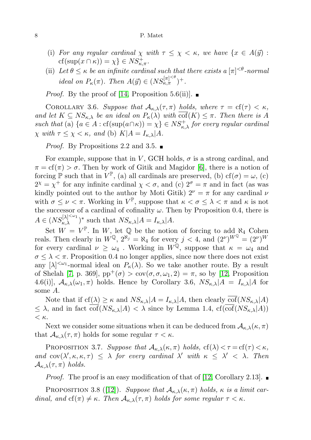- (i) For any regular cardinal  $\chi$  with  $\tau \leq \chi < \kappa$ , we have  $\{x \in A(\vec{y})\}$ :  $cf(\sup(x \cap \kappa)) = \chi$   $\in NS_{\kappa,\pi}^+$ .
- (ii) Let  $\theta \leq \kappa$  be an infinite cardinal such that there exists a  $[\pi]^{<\theta}$ -normal ideal on  $P_{\kappa}(\pi)$ . Then  $A(\vec{y}) \in (NS_{\kappa,\pi}^{[\pi]^{<\theta}})^+$ .

*Proof.* By the proof of [\[14,](#page-21-2) Proposition 5.6(ii)].  $\blacksquare$ 

COROLLARY 3.6. Suppose that  $A_{\kappa,\lambda}(\tau,\pi)$  holds, where  $\tau = \text{cf}(\tau) < \kappa$ , and let  $K \subseteq NS_{\kappa,\lambda}$  be an ideal on  $P_{\kappa}(\lambda)$  with  $\overline{\text{cof}}(K) \leq \pi$ . Then there is A such that (a)  $\{a \in A : \text{cf}(\sup(a \cap \kappa)) = \chi\} \in NS^+_{\kappa,\lambda}$  for every regular cardinal  $\chi$  with  $\tau \leq \chi < \kappa$ , and (b)  $K|A = I_{\kappa,\lambda}|A$ .

*Proof.* By Propositions 2.2 and 3.5.  $\blacksquare$ 

For example, suppose that in V, GCH holds,  $\sigma$  is a strong cardinal, and  $\pi = \text{cf}(\pi) > \sigma$ . Then by work of Gitik and Magidor [\[6\]](#page-21-13), there is a notion of forcing  $\mathbb{P}$  such that in  $V^{\mathbb{P}},$  (a) all cardinals are preserved, (b)  $cf(\sigma) = \omega$ , (c)  $2^{\chi} = \chi^{+}$  for any infinite cardinal  $\chi < \sigma$ , and (c)  $2^{\sigma} = \pi$  and in fact (as was kindly pointed out to the author by Moti Gitik)  $2^{\nu} = \pi$  for any cardinal  $\nu$ with  $\sigma \leq \nu < \pi$ . Working in  $V^{\mathbb{P}}$ , suppose that  $\kappa < \sigma \leq \lambda < \pi$  and  $\kappa$  is not the successor of a cardinal of cofinality  $\omega$ . Then by Proposition 0.4, there is  $A \in (NS_{\kappa,\lambda}^{[\lambda]^{<\omega_1}})^*$  such that  $NS_{\kappa,\lambda}|A = I_{\kappa,\lambda}|A$ .

Set  $W = V^{\mathbb{P}}$ . In W, let Q be the notion of forcing to add  $\aleph_4$  Cohen reals. Then clearly in  $W^{\mathbb{Q}}$ ,  $2^{\aleph_j} = \aleph_4$  for every  $j < 4$ , and  $(2^{\nu})^{W^{\mathbb{Q}}} = (2^{\nu})^W$ for every cardinal  $\nu \geq \omega_4$ . Working in  $W^{\mathbb{Q}}$ , suppose that  $\kappa = \omega_4$  and  $\sigma \leq \lambda < \pi$ . Proposition 0.4 no longer applies, since now there does not exist any  $[\lambda]^{<\omega_1}$ -normal ideal on  $P_{\kappa}(\lambda)$ . So we take another route. By a result of Shelah [\[7,](#page-21-14) p. 369],  $pp^+(\sigma) > cov(\sigma, \sigma, \omega_1, 2) = \pi$ , so by [\[12,](#page-21-11) Proposition 4.6(i)],  $A_{\kappa,\lambda}(\omega_1,\pi)$  holds. Hence by Corollary 3.6,  $NS_{\kappa,\lambda}|A = I_{\kappa,\lambda}|A|$  for some A.

Note that if  $cf(\lambda) \geq \kappa$  and  $NS_{\kappa,\lambda}|A = I_{\kappa,\lambda}|A$ , then clearly  $\overline{cof}(NS_{\kappa,\lambda}|A)$  $\leq \lambda$ , and in fact  $\overline{\text{cof}}(NS_{\kappa,\lambda}|A) < \lambda$  since by Lemma 1.4,  $\text{cf}(\overline{\text{cof}}(NS_{\kappa,\lambda}|A))$  $< \kappa$ .

Next we consider some situations when it can be deduced from  $\mathcal{A}_{\kappa,\lambda}(\kappa,\pi)$ that  $\mathcal{A}_{\kappa,\lambda}(\tau,\pi)$  holds for some regular  $\tau < \kappa$ .

PROPOSITION 3.7. Suppose that  $\mathcal{A}_{\kappa,\lambda}(\kappa,\pi)$  holds,  $cf(\lambda) < \tau = cf(\tau) < \kappa$ , and  $cov(\lambda', \kappa, \kappa, \tau) \leq \lambda$  for every cardinal  $\lambda'$  with  $\kappa \leq \lambda' < \lambda$ . Then  $\mathcal{A}_{\kappa,\lambda}(\tau,\pi)$  holds.

*Proof.* The proof is an easy modification of that of [\[12,](#page-21-11) Corollary 2.13].  $\blacksquare$ 

PROPOSITION 3.8 ([\[12\]](#page-21-11)). Suppose that  $\mathcal{A}_{\kappa,\lambda}(\kappa,\pi)$  holds,  $\kappa$  is a limit cardinal, and  $cf(\pi) \neq \kappa$ . Then  $\mathcal{A}_{\kappa,\lambda}(\tau,\pi)$  holds for some regular  $\tau < \kappa$ .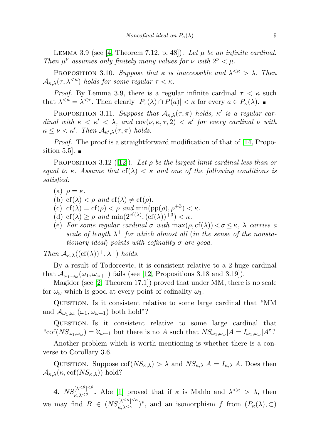LEMMA 3.9 (see [\[4,](#page-21-15) Theorem 7.12, p. 48]). Let  $\mu$  be an infinite cardinal. Then  $\mu^{\nu}$  assumes only finitely many values for  $\nu$  with  $2^{\nu} < \mu$ .

PROPOSITION 3.10. Suppose that  $\kappa$  is inaccessible and  $\lambda^{<\kappa} > \lambda$ . Then  $\mathcal{A}_{\kappa,\lambda}(\tau,\lambda^{\leq\kappa})$  holds for some regular  $\tau<\kappa$ .

*Proof.* By Lemma 3.9, there is a regular infinite cardinal  $\tau < \kappa$  such that  $\lambda^{<\kappa} = \lambda^{<\tau}$ . Then clearly  $|P_\tau(\lambda) \cap P(a)| < \kappa$  for every  $a \in P_\kappa(\lambda)$ .

PROPOSITION 3.11. Suppose that  $A_{\kappa,\lambda}(\tau,\pi)$  holds,  $\kappa'$  is a regular cardinal with  $\kappa < \kappa' < \lambda$ , and cov $(\nu, \kappa, \tau, 2) < \kappa'$  for every cardinal  $\nu$  with  $\kappa \leq \nu < \kappa'.$  Then  $\mathcal{A}_{\kappa',\lambda}(\tau,\pi)$  holds.

Proof. The proof is a straightforward modification of that of [\[14,](#page-21-2) Proposition 5.5.

PROPOSITION 3.12 ([\[12\]](#page-21-11)). Let  $\rho$  be the largest limit cardinal less than or equal to κ. Assume that  $cf(\lambda) < \kappa$  and one of the following conditions is satisfied:

- (a)  $\rho = \kappa$ .
- (b) cf( $\lambda$ ) <  $\rho$  and cf( $\lambda$ )  $\neq$  cf( $\rho$ ).
- (c)  $cf(\lambda) = cf(\rho) < \rho$  and  $min(pp(\rho), \rho^{+3}) < \kappa$ .
- (d)  $cf(\lambda) \ge \rho$  and  $\min(2^{cf(\lambda)}, (cf(\lambda))^{+3}) < \kappa$ .
- (e) For some regular cardinal  $\sigma$  with  $\max(\rho, \text{cf}(\lambda)) < \sigma \leq \kappa$ ,  $\lambda$  carries a scale of length  $\lambda^+$  for which almost all (in the sense of the nonstationary ideal) points with cofinality  $\sigma$  are good.

Then  $\mathcal{A}_{\kappa,\lambda}((cf(\lambda))^+, \lambda^+)$  holds.

By a result of Todorcevic, it is consistent relative to a 2-huge cardinal that  $\mathcal{A}_{\omega_1,\omega_\omega}(\omega_1,\omega_{\omega+1})$  fails (see [\[12,](#page-21-11) Propositions 3.18 and 3.19]).

Magidor (see [\[2,](#page-21-16) Theorem 17.1]) proved that under MM, there is no scale for  $\omega_{\omega}$  which is good at every point of cofinality  $\omega_1$ .

Question. Is it consistent relative to some large cardinal that "MM and  $\mathcal{A}_{\omega_1,\omega_\omega}(\omega_1,\omega_{\omega+1})$  both hold"?

Question. Is it consistent relative to some large cardinal that "cof( $NS_{\omega_1,\omega_\omega}$ ) =  $\aleph_{\omega+1}$  but there is no A such that  $NS_{\omega_1,\omega_\omega}|A = I_{\omega_1,\omega_\omega}|A$ "?

Another problem which is worth mentioning is whether there is a converse to Corollary 3.6.

QUESTION. Suppose  $\overline{\text{cof}}(NS_{\kappa,\lambda}) > \lambda$  and  $NS_{\kappa,\lambda}|A = I_{\kappa,\lambda}|A$ . Does then  $\mathcal{A}_{\kappa,\lambda}(\kappa,\overline{\mathrm{cof}}(NS_{\kappa,\lambda}))$  hold?

4.  $NS_{\kappa,\lambda^{<\theta}}^{[\lambda^{<\theta}]<\theta}$ . Abe [\[1\]](#page-21-17) proved that if  $\kappa$  is Mahlo and  $\lambda^{<\kappa} > \lambda$ , then we may find  $B \in (NS_{\kappa,\lambda^{<\kappa}}^{[\lambda^{<\kappa}]^{<\kappa}})^*$ , and an isomorphism f from  $(P_{\kappa}(\lambda), \subset)$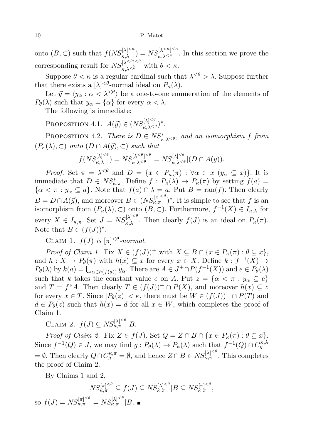onto  $(B, \subset)$  such that  $f(NS_{\kappa,\lambda}^{[\lambda]^{<\kappa}}) = NS_{\kappa,\lambda^{<\kappa}}^{[\lambda]<\kappa}$ . In this section we prove the corresponding result for  $NS_{\kappa,\lambda<\theta}^{[\lambda<\theta]<\epsilon}$  with  $\theta<\kappa$ .

Suppose  $\theta < \kappa$  is a regular cardinal such that  $\lambda^{<\theta} > \lambda$ . Suppose further that there exists a  $[\lambda]^{<\theta}$ -normal ideal on  $P_{\kappa}(\lambda)$ .

Let  $\vec{y} = \langle y_\alpha : \alpha < \lambda^{<\theta} \rangle$  be a one-to-one enumeration of the elements of  $P_{\theta}(\lambda)$  such that  $y_{\alpha} = {\alpha}$  for every  $\alpha < \lambda$ .

The following is immediate:

Proposition 4.1.  $A(\vec{y}) \in (NS_{\kappa,\lambda^{<\theta}}^{[\lambda]^{<\theta}})^*$ .

PROPOSITION 4.2. There is  $D \in NS^*_{\kappa,\lambda^{<\theta}}$ , and an isomorphism f from  $(P_{\kappa}(\lambda), \subset)$  onto  $(D \cap A(\vec{y}), \subset)$  such that

$$
f(NS_{\kappa,\lambda}^{[\lambda]^{<\theta}}) = NS_{\kappa,\lambda^{<\theta}}^{[\lambda^{<\theta}]^{<\theta}} = NS_{\kappa,\lambda^{<\theta}}^{[\lambda]^{<\theta}} | (D \cap A(\vec{y})).
$$

*Proof.* Set  $\pi = \lambda^{<\theta}$  and  $D = \{x \in P_{\kappa}(\pi) : \forall \alpha \in x \ (y_{\alpha} \subseteq x)\}\.$  It is immediate that  $D \in NS_{\kappa,\pi}^*$ . Define  $f: P_{\kappa}(\lambda) \to P_{\kappa}(\pi)$  by setting  $f(a) =$  $\{\alpha < \pi : y_{\alpha} \subseteq a\}$ . Note that  $f(a) \cap \lambda = a$ . Put  $B = \text{ran}(f)$ . Then clearly  $B = D \cap A(\vec{y})$ , and moreover  $B \in (NS_{\kappa,\pi}^{[\pi]^{<\theta}})^*$ . It is simple to see that f is an isomorphism from  $(P_{\kappa}(\lambda), \subset)$  onto  $(B, \subset)$ . Furthermore,  $f^{-1}(X) \in I_{\kappa,\lambda}$  for every  $X \in I_{\kappa,\pi}$ . Set  $J = NS_{\kappa,\lambda}^{[\lambda]^{<\theta}}$ . Then clearly  $f(J)$  is an ideal on  $P_{\kappa}(\pi)$ . Note that  $B \in (f(J))^*$ .

CLAIM 1.  $f(J)$  is  $[\pi]^{<\theta}$ -normal.

*Proof of Claim 1.* Fix  $X \in (f(J))^+$  with  $X \subseteq B \cap \{x \in P_{\kappa}(\pi) : \theta \subseteq x\},$ and  $h: X \to P_{\theta}(\pi)$  with  $h(x) \subseteq x$  for every  $x \in X$ . Define  $k: f^{-1}(X) \to$  $P_{\theta}(\lambda)$  by  $k(a) = \bigcup_{\alpha \in h(f(a))} y_{\alpha}$ . There are  $A \in J^+ \cap P(f^{-1}(X))$  and  $e \in P_{\theta}(\lambda)$ such that k takes the constant value e on A. Put  $z = \{ \alpha < \pi : y_{\alpha} \subseteq e \}$ and  $T = f^*A$ . Then clearly  $T \in (f(J))^+ \cap P(X)$ , and moreover  $h(x) \subseteq z$ for every  $x \in T$ . Since  $|P_{\theta}(z)| < \kappa$ , there must be  $W \in (f(J))^+ \cap P(T)$  and  $d \in P_{\theta}(z)$  such that  $h(x) = d$  for all  $x \in W$ , which completes the proof of Claim 1.

CLAIM 2.  $f(J) \subseteq NS_{\kappa,\pi}^{[\lambda]^{<\theta}}|B.$ 

Proof of Claim 2. Fix  $Z \in f(J)$ . Set  $Q = Z \cap B \cap \{x \in P_{\kappa}(\pi) : \theta \subseteq x\}.$ Since  $f^{-1}(Q) \in J$ , we may find  $g: P_{\theta}(\lambda) \to P_{\kappa}(\lambda)$  such that  $f^{-1}(Q) \cap C_g^{\kappa,\lambda}$ = ∅. Then clearly  $Q \cap C_g^{\kappa,\pi} = \emptyset$ , and hence  $Z \cap B \in NS_{\kappa,\pi}^{[\lambda]^{<\theta}}$ . This completes the proof of Claim 2.

By Claims 1 and 2,

$$
NS_{\kappa,\pi}^{[\pi]^{<\theta}} \subseteq f(J) \subseteq NS_{\kappa,\pi}^{[\lambda]^{<\theta}} | B \subseteq NS_{\kappa,\pi}^{[\pi]^{<\theta}},
$$

so  $f(J) = NS_{\kappa,\pi}^{[\pi]^{<\theta}} = NS_{\kappa,\pi}^{[\lambda]^{<\theta}} |B.$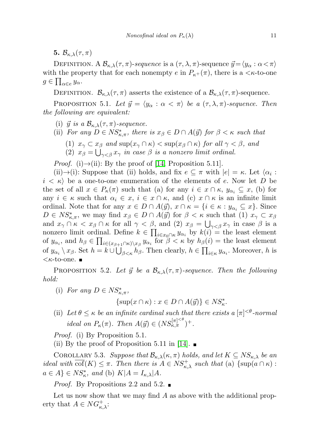5.  $\mathcal{B}_{\kappa,\lambda}(\tau,\pi)$ 

DEFINITION. A  $\mathcal{B}_{\kappa,\lambda}(\tau,\pi)$ -sequence is a  $(\tau,\lambda,\pi)$ -sequence  $\vec{y}=\langle y_\alpha : \alpha < \pi \rangle$ with the property that for each nonempty  $e$  in  $P_{\kappa^+}(\pi)$ , there is a  $\langle \kappa$ -to-one  $g \in \prod_{\alpha \in e} y_{\alpha}$ .

DEFINITION.  $\mathcal{B}_{\kappa,\lambda}(\tau,\pi)$  asserts the existence of a  $\mathcal{B}_{\kappa,\lambda}(\tau,\pi)$ -sequence.

PROPOSITION 5.1. Let  $\vec{y} = \langle y_\alpha : \alpha < \pi \rangle$  be a  $(\tau, \lambda, \pi)$ -sequence. Then the following are equivalent:

- (i)  $\vec{y}$  is a  $\mathcal{B}_{\kappa,\lambda}(\tau,\pi)$ -sequence.
- (ii) For any  $D \in NS^*_{\kappa,\pi}$ , there is  $x_\beta \in D \cap A(\vec{y})$  for  $\beta < \kappa$  such that
	- (1)  $x_{\gamma} \subset x_{\beta}$  and  $\sup(x_{\gamma} \cap \kappa) < \sup(x_{\beta} \cap \kappa)$  for all  $\gamma < \beta$ , and
	- (2)  $x_{\beta} = \bigcup_{\gamma < \beta} x_{\gamma}$  in case  $\beta$  is a nonzero limit ordinal.

*Proof.* (i) $\rightarrow$ (ii): By the proof of [\[14,](#page-21-2) Proposition 5.11].

(ii) $\rightarrow$ (i): Suppose that (ii) holds, and fix  $e \subseteq \pi$  with  $|e| = \kappa$ . Let  $\langle \alpha_i :$  $i < \kappa$  be a one-to-one enumeration of the elements of e. Now let D be the set of all  $x \in P_{\kappa}(\pi)$  such that (a) for any  $i \in x \cap \kappa$ ,  $y_{\alpha_i} \subseteq x$ , (b) for any  $i \in \kappa$  such that  $\alpha_i \in x$ ,  $i \in x \cap \kappa$ , and (c)  $x \cap \kappa$  is an infinite limit ordinal. Note that for any  $x \in D \cap A(\vec{y}), x \cap \kappa = \{i \in \kappa : y_{\alpha_i} \subseteq x\}.$  Since  $D \in NS^*_{\kappa,\pi}$ , we may find  $x_\beta \in D \cap A(\vec{y})$  for  $\beta < \kappa$  such that (1)  $x_\gamma \subset x_\beta$ and  $x_{\gamma} \cap \kappa < x_{\beta} \cap \kappa$  for all  $\gamma < \beta$ , and (2)  $x_{\beta} = \bigcup_{\gamma < \beta} x_{\gamma}$  in case  $\beta$  is a nonzero limit ordinal. Define  $k \in \prod_{i \in x_0 \cap \kappa} y_{\alpha_i}$  by  $k(i) =$  the least element of  $y_{\alpha_i}$ , and  $h_\beta \in \prod_{i \in (x_{\beta+1} \cap \kappa) \setminus x_\beta} y_{\alpha_i}$  for  $\beta < \kappa$  by  $h_\beta(i) =$  the least element of  $y_{\alpha_i} \setminus x_{\beta}$ . Set  $h = k \cup \bigcup_{\beta < \kappa} h_{\beta}$ . Then clearly,  $h \in \prod_{i \in \kappa} y_{\alpha_i}$ . Moreover, h is  $<$  *K*-to-one. ■

PROPOSITION 5.2. Let  $\vec{y}$  be a  $\mathcal{B}_{\kappa,\lambda}(\tau,\pi)$ -sequence. Then the following hold:

(i) For any  $D \in NS^*_{\kappa,\pi}$ ,

 $\{\sup(x \cap \kappa) : x \in D \cap A(\vec{y})\} \in NS_{\kappa}^*$ .

(ii) Let  $\theta \leq \kappa$  be an infinite cardinal such that there exists a  $[\pi]^{< \theta}$ -normal ideal on  $P_{\kappa}(\pi)$ . Then  $A(\vec{y}) \in (NS_{\kappa,\pi}^{[\pi]^{<\theta}})^+$ .

Proof. (i) By Proposition 5.1.

(ii) By the proof of Proposition 5.11 in [\[14\]](#page-21-2).  $\blacksquare$ 

COROLLARY 5.3. Suppose that  $\mathcal{B}_{\kappa,\lambda}(\kappa,\pi)$  holds, and let  $K \subseteq NS_{\kappa,\lambda}$  be an ideal with  $\overline{\text{cof}}(K) \leq \pi$ . Then there is  $A \in NS_{\kappa,\lambda}^+$  such that (a)  $\{\text{sup}(a \cap \kappa) :$  $a \in A$   $\in NS_{\kappa}^*$ , and (b)  $K|A = I_{\kappa,\lambda}|A$ .

*Proof.* By Propositions 2.2 and 5.2.

Let us now show that we may find  $A$  as above with the additional property that  $A \in NG^+_{\kappa,\lambda}$ :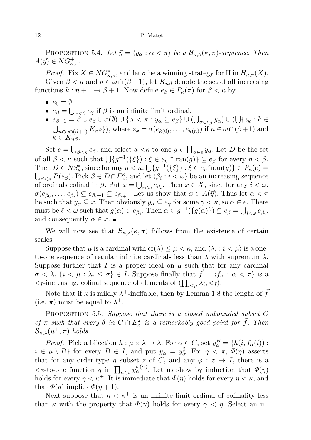PROPOSITION 5.4. Let  $\vec{y} = \langle y_\alpha : \alpha < \pi \rangle$  be a  $\mathcal{B}_{\kappa,\lambda}(\kappa, \pi)$ -sequence. Then  $A(\vec{y}) \in NG_{\kappa,\pi}^+$ .

*Proof.* Fix  $X \in NG_{\kappa,\pi}^*$ , and let  $\sigma$  be a winning strategy for II in  $H_{\kappa,\pi}(X)$ . Given  $\beta < \kappa$  and  $n \in \omega \cap (\beta + 1)$ , let  $K_{n\beta}$  denote the set of all increasing functions  $k : n + 1 \to \beta + 1$ . Now define  $e_{\beta} \in P_{\kappa}(\pi)$  for  $\beta < \kappa$  by

- $e_0 = \emptyset$ .
- $e_{\beta} = \bigcup_{\gamma < \beta} e_{\gamma}$  if  $\beta$  is an infinite limit ordinal.
- $\bullet \ \ e_{\beta+1} = \beta \cup e_\beta \cup \sigma(\emptyset) \cup \{\alpha < \pi : y_\alpha \subseteq e_\beta\} \cup (\bigcup_{\alpha \in e_\beta} y_\alpha) \cup (\bigcup \{z_k : k \in \mathbb{Z}\})$  $\bigcup_{n\in\omega\cap(\beta+1)} K_{n\beta}\}\)$ , where  $z_k = \sigma(e_{k(0)}, \ldots, e_{k(n)})$  if  $n \in \omega\cap(\beta+1)$  and  $k \in K_{n\beta}$ .

Set  $e = \bigcup_{\beta < \kappa} e_{\beta}$ , and select a  $\lt \kappa$ -to-one  $g \in \prod_{\alpha \in e} y_{\alpha}$ . Let D be the set of all  $\beta < \kappa$  such that  $\bigcup \{g^{-1}(\{\xi\}) : \xi \in e_\eta \cap \text{ran}(g)\} \subseteq e_\beta$  for every  $\eta < \beta$ . Then  $D \in NS_{\kappa}^*$ , since for any  $\eta < \kappa$ ,  $\bigcup \{g^{-1}(\{\xi\}) : \xi \in e_{\eta} \cap \text{ran}(g)\} \in P_{\kappa}(e)$  $\bigcup_{\beta<\kappa}P(e_{\beta})$ . Pick  $\beta\in D\cap E_{\omega}^{\kappa}$ , and let  $\langle\beta_{i}:i<\omega\rangle$  be an increasing sequence of ordinals cofinal in  $\beta$ . Put  $x = \bigcup_{i < \omega} e_{\beta_i}$ . Then  $x \in X$ , since for any  $i < \omega$ ,  $\sigma(e_{\beta_0},\ldots,e_{\beta_i})\subseteq e_{\beta_i+1}\subseteq e_{\beta_{i+1}}$ . Let us show that  $x\in A(\vec{y})$ . Thus let  $\alpha<\pi$ be such that  $y_\alpha \subseteq x$ . Then obviously  $y_\alpha \subseteq e_\gamma$  for some  $\gamma < \kappa$ , so  $\alpha \in e$ . There must be  $\ell < \omega$  such that  $g(\alpha) \in e_{\beta_{\ell}}$ . Then  $\alpha \in g^{-1}(\{g(\alpha)\}) \subseteq e_{\beta} = \bigcup_{i < \omega} e_{\beta_i}$ , and consequently  $\alpha \in \mathcal{X}$ .

We will now see that  $\mathcal{B}_{\kappa,\lambda}(\kappa,\pi)$  follows from the existence of certain scales.

Suppose that  $\mu$  is a cardinal with  $cf(\lambda) \leq \mu < \kappa$ , and  $\langle \lambda_i : i < \mu \rangle$  is a oneto-one sequence of regular infinite cardinals less than  $\lambda$  with supremum  $\lambda$ . Suppose further that I is a proper ideal on  $\mu$  such that for any cardinal  $\sigma < \lambda, \{i < \mu : \lambda_i \leq \sigma\} \in I$ . Suppose finally that  $\vec{f} = \langle f_\alpha : \alpha < \pi \rangle$  is a  $\langle I \rangle$ -increasing, cofinal sequence of elements of  $(\prod_{i \leq \mu} \lambda_i, \langle I \rangle)$ .

Note that if  $\kappa$  is mildly  $\lambda^+$ -ineffable, then by Lemma 1.8 the length of  $\bar{f}$ (i.e.  $\pi$ ) must be equal to  $\lambda^+$ .

PROPOSITION 5.5. Suppose that there is a closed unbounded subset  $C$ of  $\pi$  such that every  $\delta$  in  $C \cap E_{\kappa}^{\pi}$  is a remarkably good point for  $\vec{f}$ . Then  $\mathcal{B}_{\kappa,\lambda}(\mu^+,\pi)$  holds.

*Proof.* Pick a bijection  $h : \mu \times \lambda \to \lambda$ . For  $\alpha \in C$ , set  $y_{\alpha}^{B} = \{h(i, f_{\alpha}(i))\}$ :  $i \in \mu \setminus B$  for every  $B \in I$ , and put  $y_{\alpha} = y_{\alpha}^{\emptyset}$ . For  $\eta < \pi$ ,  $\Phi(\eta)$  asserts that for any order-type  $\eta$  subset z of C, and any  $\varphi: z \to I$ , there is a  $\lt$ κ-to-one function g in  $\prod_{\alpha \in z} y_{\alpha}^{\varphi(\alpha)}$ . Let us show by induction that  $\Phi(\eta)$ holds for every  $\eta < \kappa^+$ . It is immediate that  $\Phi(\eta)$  holds for every  $\eta < \kappa$ , and that  $\Phi(\eta)$  implies  $\Phi(\eta+1)$ .

Next suppose that  $\eta < \kappa^+$  is an infinite limit ordinal of cofinality less than  $\kappa$  with the property that  $\Phi(\gamma)$  holds for every  $\gamma < \eta$ . Select an in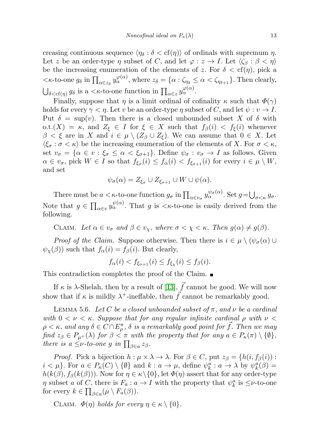creasing continuous sequence  $\langle \eta_{\delta} : \delta < \text{cf}(\eta) \rangle$  of ordinals with supremum  $\eta$ . Let z be an order-type  $\eta$  subset of C, and let  $\varphi : z \to I$ . Let  $\langle \zeta_{\beta} : \beta < \eta \rangle$ be the increasing enumeration of the elements of z. For  $\delta < \text{cf}(\eta)$ , pick a  $\langle \kappa$ -to-one  $g_{\delta}$  in  $\prod_{\alpha \in z_{\delta}} y_{\alpha}^{\varphi(\alpha)}$ , where  $z_{\delta} = {\alpha : \zeta_{\eta_{\delta}}} \leq \alpha \langle \zeta_{\eta_{\delta+1}} \rangle$ . Then clearly,  $\bigcup_{\delta < \text{cf}(\eta)} g_{\delta}$  is a  $\lt k$ -to-one function in  $\prod_{\alpha \in z} y_{\alpha}^{\varphi(\alpha)}$ .

Finally, suppose that  $\eta$  is a limit ordinal of cofinality  $\kappa$  such that  $\Phi(\gamma)$ holds for every  $\gamma < \eta$ . Let v be an order-type  $\eta$  subset of C, and let  $\psi : v \to I$ . Put  $\delta = \sup(v)$ . Then there is a closed unbounded subset X of  $\delta$  with o.t. $(X) = \kappa$ , and  $Z_{\xi} \in I$  for  $\xi \in X$  such that  $f_{\beta}(i) < f_{\xi}(i)$  whenever  $\beta < \xi$  are in X and  $i \in \mu \setminus (Z_\beta \cup Z_\xi)$ . We can assume that  $0 \in X$ . Let  $\langle \xi_{\sigma} : \sigma \langle \kappa \rangle$  be the increasing enumeration of the elements of X. For  $\sigma \langle \kappa, \zeta \rangle$ set  $v_{\sigma} = {\alpha \in v : \xi_{\sigma} \leq \alpha < \xi_{\sigma+1}}$ . Define  $\psi_{\sigma} : v_{\sigma} \to I$  as follows. Given  $\alpha \in v_{\sigma}$ , pick  $W \in I$  so that  $f_{\xi_{\sigma}}(i) \leq f_{\alpha}(i) < f_{\xi_{\sigma+1}}(i)$  for every  $i \in \mu \setminus W$ , and set

$$
\psi_{\sigma}(\alpha) = Z_{\xi_{\sigma}} \cup Z_{\xi_{\sigma+1}} \cup W \cup \psi(\alpha).
$$

There must be  $a < \kappa$ -to-one function  $g_{\sigma}$  in  $\prod_{\alpha \in v_{\sigma}} y_{\alpha}^{\psi_{\sigma}(\alpha)}$ . Set  $g = \bigcup_{\sigma < \kappa} g_{\sigma}$ . Note that  $g \in \prod_{\alpha \in v} \psi_{\alpha}^{\psi(\alpha)}$ . That g is  $\langle \kappa$ -to-one is easily derived from the following.

CLAIM. Let  $\alpha \in v_{\sigma}$  and  $\beta \in v_{\chi}$ , where  $\sigma < \chi < \kappa$ . Then  $g(\alpha) \neq g(\beta)$ .

*Proof of the Claim.* Suppose otherwise. Then there is  $i \in \mu \setminus (\psi_{\sigma}(\alpha) \cup$  $\psi_{\chi}(\beta)$ ) such that  $f_{\alpha}(i) = f_{\beta}(i)$ . But clearly,

$$
f_{\alpha}(i) < f_{\xi_{\sigma+1}}(i) \le f_{\xi_{\chi}}(i) \le f_{\beta}(i).
$$

This contradiction completes the proof of the Claim.

If κ is  $\lambda$ -Shelah, then by a result of [\[13\]](#page-21-12),  $\vec{f}$  cannot be good. We will now show that if  $\kappa$  is mildly  $\lambda^+$ -ineffable, then  $\vec{f}$  cannot be remarkably good.

LEMMA 5.6. Let C be a closed unbounded subset of  $\pi$ , and  $\nu$  be a cardinal with  $0 < \nu < \kappa$ . Suppose that for any regular infinite cardinal  $\rho$  with  $\nu <$  $\rho < \kappa$ , and any  $\delta \in \widehat{C} \cap E_{\rho}^{\pi}$ ,  $\delta$  is a remarkably good point for  $\vec{f}$ . Then we may find  $z_{\beta} \in P_{\mu+}(\lambda)$  for  $\beta < \pi$  with the property that for any  $a \in P_{\kappa}(\pi) \setminus \{\emptyset\},\$ there is a  $\leq \nu$ -to-one g in  $\prod_{\beta \in a} z_{\beta}$ .

*Proof.* Pick a bijection  $h : \mu \times \lambda \to \lambda$ . For  $\beta \in C$ , put  $z_{\beta} = \{h(i, f_{\beta}(i))$ :  $i < \mu$ . For  $a \in P_{\kappa}(C) \setminus \{\emptyset\}$  and  $k : a \to \mu$ , define  $\psi_{k}^{a} : a \to \lambda$  by  $\psi_{k}^{a}(\beta) =$  $h(k(\beta), f_{\beta}(k(\beta)))$ . Now for  $\eta \in \kappa \setminus \{0\}$ , let  $\Phi(\eta)$  assert that for any order-type  $\eta$  subset a of C, there is  $F_a: a \to I$  with the property that  $\psi_k^a$  is  $\leq \nu$ -to-one for every  $k \in \prod_{\beta \in a} (\mu \setminus F_a(\beta)).$ 

CLAIM.  $\Phi(\eta)$  holds for every  $\eta \in \kappa \setminus \{0\}.$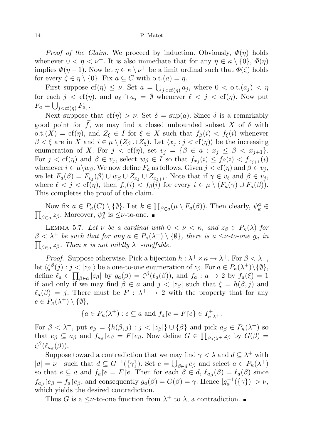*Proof of the Claim.* We proceed by induction. Obviously,  $\Phi(\eta)$  holds whenever  $0 < \eta < \nu^{+}$ . It is also immediate that for any  $\eta \in \kappa \setminus \{0\}, \Phi(\eta)$ implies  $\Phi(\eta + 1)$ . Now let  $\eta \in \kappa \setminus \nu^+$  be a limit ordinal such that  $\Phi(\zeta)$  holds for every  $\zeta \in \eta \setminus \{0\}$ . Fix  $a \subseteq C$  with o.t. $(a) = \eta$ .

First suppose  $cf(\eta) \leq \nu$ . Set  $a = \bigcup_{j < cf(\eta)} a_j$ , where  $0 < \text{o.t.}(a_j) < \eta$ for each  $j < cf(\eta)$ , and  $a_{\ell} \cap a_j = \emptyset$  whenever  $\ell < j < cf(\eta)$ . Now put  $F_a = \bigcup_{j < cf(\eta)} F_{a_j}.$ 

Next suppose that  $cf(\eta) > \nu$ . Set  $\delta = \sup(a)$ . Since  $\delta$  is a remarkably good point for  $\tilde{f}$ , we may find a closed unbounded subset X of  $\delta$  with o.t. $(X) = \text{cf}(\eta)$ , and  $Z_{\xi} \in I$  for  $\xi \in X$  such that  $f_{\beta}(i) < f_{\xi}(i)$  whenever  $\beta < \xi$  are in X and  $i \in \mu \setminus (Z_\beta \cup Z_\xi)$ . Let  $\langle x_j : j < \text{cf}(\eta) \rangle$  be the increasing enumeration of X. For  $j < cf(\eta)$ , set  $v_j = \{\beta \in a : x_j \leq \beta < x_{j+1}\}.$ For  $j < \text{cf}(\eta)$  and  $\beta \in v_j$ , select  $w_{\beta} \in I$  so that  $f_{x_j}(i) \leq f_{\beta}(i) < f_{x_{j+1}}(i)$ whenever  $i \in \mu \setminus w_{\beta}$ . We now define  $F_a$  as follows. Given  $j < \text{cf}(\eta)$  and  $\beta \in v_j$ , we let  $F_a(\beta) = F_{v_j}(\beta) \cup w_{\beta} \cup Z_{x_j} \cup Z_{x_{j+1}}$ . Note that if  $\gamma \in v_{\ell}$  and  $\beta \in v_j$ , where  $\ell < j < \text{cf}(\eta)$ , then  $f_{\gamma}(i) < f_{\beta}(i)$  for every  $i \in \mu \setminus (F_a(\gamma) \cup F_a(\beta))$ . This completes the proof of the claim.

Now fix  $a \in P_{\kappa}(C) \setminus \{\emptyset\}$ . Let  $k \in \prod_{\beta \in a} (\mu \setminus F_a(\beta))$ . Then clearly,  $\psi_k^a \in$  $\prod_{\beta \in a} z_{\beta}$ . Moreover,  $\psi_k^a$  is  $\leq \nu$ -to-one.

LEMMA 5.7. Let  $\nu$  be a cardinal with  $0 < \nu < \kappa$ , and  $z_{\beta} \in P_{\kappa}(\lambda)$  for  $\beta < \lambda^+$  be such that for any  $a \in P_\kappa(\lambda^+) \setminus \{\emptyset\}$ , there is  $a \leq \nu$ -to-one  $g_a$  in  $\prod_{\beta \in a} z_{\beta}$ . Then  $\kappa$  is not mildly  $\lambda^+$ -ineffable.

*Proof.* Suppose otherwise. Pick a bijection  $h : \lambda^+ \times \kappa \to \lambda^+$ . For  $\beta < \lambda^+$ ,  $\mathrm{let}\ \langle \zeta^{\beta}(j): j<|z_{\beta}|\rangle\ \mathrm{be}\ \mathrm{a}\ \mathrm{one}\ \mathrm{to}\ \mathrm{one}\ \mathrm{enumeration}\ \mathrm{of}\ z_{\beta}. \ \mathrm{For}\ a\in P_\kappa(\lambda^+)\backslash\{\emptyset\},$ define  $\ell_a \in \prod_{\beta \in a} |z_\beta|$  by  $g_a(\beta) = \zeta^{\beta}(\ell_a(\beta))$ , and  $f_a : a \to 2$  by  $f_a(\xi) = 1$ if and only if we may find  $\beta \in a$  and  $j < |z_{\beta}|$  such that  $\xi = h(\beta, j)$  and  $\ell_a(\beta) = j$ . There must be  $F : \lambda^+ \to 2$  with the property that for any  $e \in P_{\kappa}(\lambda^+) \setminus \{\emptyset\},\$ 

$$
\{a \in P_{\kappa}(\lambda^+): e \subseteq a \text{ and } f_a \mid e = F \mid e\} \in I^+_{\kappa,\lambda^+}.
$$

For  $\beta < \lambda^+$ , put  $e_{\beta} = \{h(\beta, j) : j < |z_{\beta}|\} \cup \{\beta\}$  and pick  $a_{\beta} \in P_{\kappa}(\lambda^+)$  so that  $e_{\beta} \subseteq a_{\beta}$  and  $f_{a_{\beta}}|e_{\beta} = F|e_{\beta}$ . Now define  $G \in \prod_{\beta < \lambda^+} z_{\beta}$  by  $G(\beta) =$  $\zeta^{\beta}(\ell_{a_{\beta}}(\beta)).$ 

Suppose toward a contradiction that we may find  $\gamma < \lambda$  and  $d \subseteq \lambda^+$  with  $|d| = \nu^+$  such that  $d \subseteq G^{-1}(\{\gamma\})$ . Set  $e = \bigcup_{\beta \in d} e_{\beta}$  and select  $a \in P_{\kappa}(\lambda^+)$ so that  $e \subseteq a$  and  $f_a | e = F | e$ . Then for each  $\beta \in d$ ,  $\ell_{a}(\beta) = \ell_a(\beta)$  since  $f_{a_{\beta}}[e_{\beta} = f_a[e_{\beta}, \text{ and consequently } g_a(\beta) = G(\beta) = \gamma.$  Hence  $|g_a^{-1}(\{\gamma\})| > \nu$ , which yields the desired contradiction.

Thus G is a  $\leq \nu$ -to-one function from  $\lambda^+$  to  $\lambda$ , a contradiction.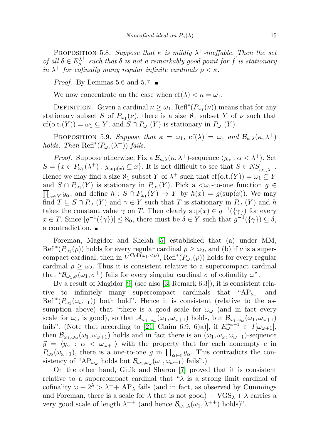PROPOSITION 5.8. Suppose that  $\kappa$  is mildly  $\lambda^+$ -ineffable. Then the set of all  $\delta \in E_\rho^{\lambda^+}$  such that  $\delta$  is not a remarkably good point for  $\vec{f}$  is stationary in  $\lambda^+$  for cofinally many regular infinite cardinals  $\rho < \kappa$ .

*Proof.* By Lemmas 5.6 and 5.7.  $\blacksquare$ 

We now concentrate on the case when  $cf(\lambda) < \kappa = \omega_1$ .

DEFINITION. Given a cardinal  $\nu \geq \omega_1$ , Refl<sup>\*</sup> $(P_{\omega_1}(\nu))$  means that for any stationary subset S of  $P_{\omega_1}(\nu)$ , there is a size  $\aleph_1$  subset Y of  $\nu$  such that  $cf(o.t.(Y)) = \omega_1 \subseteq Y$ , and  $S \cap P_{\omega_1}(Y)$  is stationary in  $P_{\omega_1}(Y)$ .

PROPOSITION 5.9. Suppose that  $\kappa = \omega_1$ ,  $cf(\lambda) = \omega$ , and  $\mathcal{B}_{\kappa,\lambda}(\kappa,\lambda^+)$ holds. Then  $\text{Refl}^*(P_{\omega_1}(\lambda^+))$  fails.

*Proof.* Suppose otherwise. Fix a  $\mathcal{B}_{\kappa,\lambda}(\kappa,\lambda^+)$ -sequence  $\langle y_\alpha : \alpha < \lambda^+ \rangle$ . Set  $S = \{x \in P_{\omega_1}(\lambda^+) : y_{\sup(x)} \subseteq x\}.$  It is not difficult to see that  $S \in NS^+_{\omega_1, \lambda^+}.$ Hence we may find a size  $\aleph_1$  subset Y of  $\lambda^+$  such that  $cf(o.t.(Y)) = \omega_1 \subseteq Y$ and  $S \cap P_{\omega_1}(Y)$  is stationary in  $P_{\omega_1}(Y)$ . Pick a  $\langle \omega_1$ -to-one function  $g \in$  $\prod_{\alpha \in Y} y_{\alpha}$ , and define  $h : S \cap P_{\omega_1}(Y) \to Y$  by  $h(x) = g(\sup(x))$ . We may find  $T \subseteq S \cap P_{\omega_1}(Y)$  and  $\gamma \in Y$  such that T is stationary in  $P_{\omega_1}(Y)$  and h takes the constant value  $\gamma$  on T. Then clearly  $\sup(x) \in g^{-1}(\{\gamma\})$  for every  $x \in T$ . Since  $|g^{-1}(\{\gamma\})| \leq \aleph_0$ , there must be  $\delta \in Y$  such that  $g^{-1}(\{\gamma\}) \subseteq \delta$ , a contradiction.

Foreman, Magidor and Shelah [\[5\]](#page-21-18) established that (a) under MM,  $\text{Refl}^*(P_{\omega_1}(\rho))$  holds for every regular cardinal  $\rho \geq \omega_2$ , and (b) if  $\nu$  is a supercompact cardinal, then in  $V^{\text{Coll}(\omega_1, <\nu)}$ , Refl<sup>\*</sup>( $P_{\omega_1}(\rho)$ ) holds for every regular cardinal  $\rho \geq \omega_2$ . Thus it is consistent relative to a supercompact cardinal that " $\mathcal{B}_{\omega_1,\sigma}(\omega_1,\sigma^+)$  fails for every singular cardinal  $\sigma$  of cofinality  $\omega$ ".

By a result of Magidor [\[9\]](#page-21-19) (see also [\[3,](#page-21-9) Remark 6.3]), it is consistent relative to infinitely many supercompact cardinals that " $AP_{\omega_{\omega}}$  and  $\text{Refl}^*(P_{\omega_1}(\omega_{\omega+1}))$  both hold". Hence it is consistent (relative to the assumption above) that "there is a good scale for  $\omega_{\omega}$  (and in fact every scale for  $\omega_\omega$  is good), so that  $\mathcal{A}_{\omega_1,\omega_\omega}(\omega_1,\omega_{\omega+1})$  holds, but  $\mathcal{B}_{\omega_1,\omega_\omega}(\omega_1,\omega_{\omega+1})$ fails". (Note that according to [\[21,](#page-21-20) Claim 6.9. 6)a)], if  $E_{\omega_1}^{\omega_0+1} \in I[\omega_{\omega+1}],$ then  $\mathcal{B}_{\omega_1,\omega_\omega}(\omega_1,\omega_{\omega+1})$  holds and in fact there is an  $(\omega_1,\omega_\omega,\omega_{\omega+1})$ -sequence  $\vec{y} = \langle y_{\alpha} : \alpha < \omega_{\omega+1} \rangle$  with the property that for each nonempty e in  $P_{\omega_2}(\omega_{\omega+1}),$  there is a one-to-one g in  $\prod_{\alpha \in e} y_\alpha$ . This contradicts the consistency of " $AP_{\omega_{\omega}}$  holds but  $\mathcal{B}_{\omega_1,\omega_{\omega}}(\omega_1,\omega_{\omega+1})$  fails".)

On the other hand, Gitik and Sharon [\[7\]](#page-21-14) proved that it is consistent relative to a supercompact cardinal that " $\lambda$  is a strong limit cardinal of cofinality  $\omega + 2^{\lambda} > \lambda^+ + AP_{\lambda}$  fails (and in fact, as observed by Cummings and Foreman, there is a scale for  $\lambda$  that is not good) +  $VGS_{\lambda} + \lambda$  carries a very good scale of length  $\lambda^{++}$  (and hence  $\mathcal{B}_{\omega_1,\lambda}(\omega_1,\lambda^{++})$  holds)".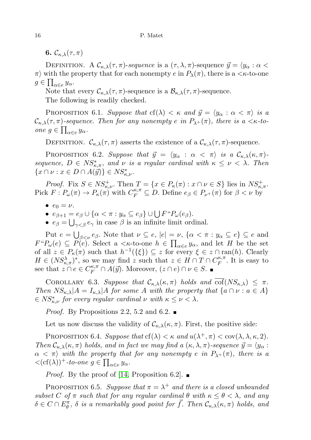6.  $\mathcal{C}_{\kappa,\lambda}(\tau,\pi)$ 

DEFINITION. A  $\mathcal{C}_{\kappa,\lambda}(\tau,\pi)$ -sequence is a  $(\tau,\lambda,\pi)$ -sequence  $\vec{y} = \langle y_\alpha : \alpha <$  $\pi$ ) with the property that for each nonempty e in  $P_{\lambda}(\pi)$ , there is a  $\lt$   $\kappa$ -to-one  $g \in \prod_{\alpha \in e} y_{\alpha}.$ 

Note that every  $\mathcal{C}_{\kappa,\lambda}(\tau,\pi)$ -sequence is a  $\mathcal{B}_{\kappa,\lambda}(\tau,\pi)$ -sequence.

The following is readily checked.

PROPOSITION 6.1. Suppose that  $cf(\lambda) < \kappa$  and  $\vec{y} = \langle y_\alpha : \alpha < \pi \rangle$  is a  $\mathcal{C}_{\kappa,\lambda}(\tau,\pi)$ -sequence. Then for any nonempty e in  $P_{\lambda^+}(\pi)$ , there is a  $\lt \kappa$ -toone  $g \in \prod_{\alpha \in e} y_{\alpha}$ .

DEFINITION.  $\mathcal{C}_{\kappa,\lambda}(\tau,\pi)$  asserts the existence of a  $\mathcal{C}_{\kappa,\lambda}(\tau,\pi)$ -sequence.

PROPOSITION 6.2. Suppose that  $\vec{y} = \langle y_\alpha : \alpha < \pi \rangle$  is a  $\mathcal{C}_{\kappa,\lambda}(\kappa, \pi)$ sequence,  $D \in NS^*_{\kappa,\pi}$ , and  $\nu$  is a regular cardinal with  $\kappa \leq \nu < \lambda$ . Then  $\{x \cap \nu : x \in D \cap A(\mathcal{Y})\} \in NS^*_{\kappa,\nu}.$ 

*Proof.* Fix  $S \in NS_{\kappa,\nu}^+$ . Then  $T = \{x \in P_{\kappa}(\pi) : x \cap \nu \in S\}$  lies in  $NS_{\kappa,\pi}^+$ . Pick  $F: P_{\omega}(\pi) \to P_{\kappa}(\pi)$  with  $C_F^{\kappa, \pi} \subseteq D$ . Define  $e_{\beta} \in P_{\nu+}(\pi)$  for  $\beta < \nu$  by

- $e_0 = \nu$ .
- $e_{\beta+1} = e_{\beta} \cup \{ \alpha < \pi : y_{\alpha} \subseteq e_{\beta} \} \cup \bigcup F^{\alpha}P_{\omega}(e_{\beta}).$
- $e_{\beta} = \bigcup_{\gamma < \beta} e_{\gamma}$  in case  $\beta$  is an infinite limit ordinal.

Put  $e = \bigcup_{\beta < \nu} e_{\beta}$ . Note that  $\nu \subseteq e$ ,  $|e| = \nu$ ,  $\{\alpha < \pi : y_{\alpha} \subseteq e\} \subseteq e$  and  $F^{\mu}P_{\omega}(e) \subseteq P(e)$ . Select a  $\lt k$ -to-one  $h \in \prod_{\alpha \in e} y_{\alpha}$ , and let H be the set of all  $z \in P_{\kappa}(\pi)$  such that  $h^{-1}(\{\xi\}) \subseteq z$  for every  $\xi \in z \cap \text{ran}(h)$ . Clearly  $H \in (NS_{\kappa,\pi}^{\lambda})^*$ , so we may find z such that  $z \in H \cap T \cap C_F^{\kappa,\pi}$  $E_F^{\kappa,\pi}$ . It is easy to see that  $z \cap e \in C_F^{\kappa, \pi} \cap A(\vec{y})$ . Moreover,  $(z \cap e) \cap \nu \in S$ .

COROLLARY 6.3. Suppose that  $\mathcal{C}_{\kappa,\lambda}(\kappa,\pi)$  holds and  $\text{cof}(NS_{\kappa,\lambda}) \leq \pi$ . Then  $NS_{\kappa,\lambda}|A = I_{\kappa,\lambda}|A$  for some A with the property that  $\{a \cap \nu : a \in A\}$  $\epsilon \in NS_{\kappa,\nu}^*$  for every regular cardinal  $\nu$  with  $\kappa \leq \nu < \lambda$ .

*Proof.* By Propositions 2.2, 5.2 and 6.2.

Let us now discuss the validity of  $\mathcal{C}_{\kappa,\lambda}(\kappa,\pi)$ . First, the positive side:

PROPOSITION 6.4. Suppose that  $cf(\lambda) < \kappa$  and  $u(\lambda^+, \pi) < cov(\lambda, \lambda, \kappa, 2)$ . Then  $\mathcal{C}_{\kappa,\lambda}(\kappa,\pi)$  holds, and in fact we may find a  $(\kappa,\lambda,\pi)$ -sequence  $\vec{y} = \langle y_\alpha :$  $\alpha < \pi$ ) with the property that for any nonempty e in  $P_{\lambda^+}(\pi)$ , there is a  $\langle (cf(\lambda))^{+}$ -to-one  $g \in \prod_{\alpha \in e} y_{\alpha}$ .

*Proof.* By the proof of [\[14,](#page-21-2) Proposition 6.2].  $\blacksquare$ 

PROPOSITION 6.5. Suppose that  $\pi = \lambda^+$  and there is a closed unbounded subset C of  $\pi$  such that for any regular cardinal  $\theta$  with  $\kappa \leq \theta < \lambda$ , and any  $\delta \in C \cap E^{\pi}_{\theta}$ ,  $\delta$  is a remarkably good point for  $\vec{f}$ . Then  $\mathcal{C}_{\kappa,\lambda}(\kappa,\pi)$  holds, and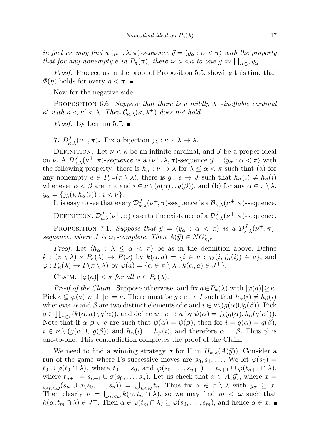in fact we may find a  $(\mu^+, \lambda, \pi)$ -sequence  $\vec{y} = \langle y_\alpha : \alpha < \pi \rangle$  with the property that for any nonempty e in  $P_{\pi}(\pi)$ , there is a  $\lt$   $\kappa$ -to-one g in  $\prod_{\alpha \in e} y_{\alpha}$ .

Proof. Proceed as in the proof of Proposition 5.5, showing this time that  $\Phi(\eta)$  holds for every  $\eta < \pi$ .

Now for the negative side:

PROPOSITION 6.6. Suppose that there is a mildly  $\lambda^+$ -ineffable cardinal  $\kappa'$  with  $\kappa < \kappa' < \lambda$ . Then  $\mathcal{C}_{\kappa,\lambda}(\kappa,\lambda^+)$  does not hold.

*Proof.* By Lemma 5.7.  $\blacksquare$ 

**7.**  $\mathcal{D}_{\kappa,\lambda}^J(\nu^+,\pi)$ . Fix a bijection  $j_\lambda : \kappa \times \lambda \to \lambda$ .

DEFINITION. Let  $\nu < \kappa$  be an infinite cardinal, and J be a proper ideal on  $\nu$ . A  $\mathcal{D}^J_{\kappa,\lambda}(\nu^+,\pi)$ -sequence is a  $(\nu^+,\lambda,\pi)$ -sequence  $\vec{y} = \langle y_\alpha : \alpha < \pi \rangle$  with the following property: there is  $h_{\alpha}: \nu \to \lambda$  for  $\lambda \leq \alpha < \pi$  such that (a) for any nonempty  $e \in P_{\kappa^+}(\pi \setminus \lambda)$ , there is  $g : e \to J$  such that  $h_\alpha(i) \neq h_\beta(i)$ whenever  $\alpha < \beta$  are in e and  $i \in \nu \setminus (g(\alpha) \cup g(\beta))$ , and (b) for any  $\alpha \in \pi \setminus \lambda$ ,  $y_{\alpha} = \{j_{\lambda}(i, h_{\alpha}(i)) : i < \nu\}.$ 

It is easy to see that every  $\mathcal{D}^J_{\kappa,\lambda}(\nu^+,\pi)$ -sequence is a  $\mathcal{B}_{\kappa,\lambda}(\nu^+,\pi)$ -sequence.

DEFINITION.  $\mathcal{D}^J_{\kappa,\lambda}(\nu^+,\pi)$  asserts the existence of a  $\mathcal{D}^J_{\kappa,\lambda}(\nu^+,\pi)$ -sequence.

PROPOSITION 7.1. Suppose that  $\vec{y} = \langle y_\alpha : \alpha < \pi \rangle$  is a  $\mathcal{D}^J_{\kappa,\lambda}(\nu^+,\pi)$ . sequence, where *J* is  $\omega_1$ -complete. Then  $A(\vec{y}) \in NG_{\kappa,\pi}^*$ .

*Proof.* Let  $\langle h_{\alpha} : \lambda \leq \alpha \langle \pi \rangle$  be as in the definition above. Define  $k : (\pi \setminus \lambda) \times P_{\kappa}(\lambda) \to P(\nu)$  by  $k(\alpha, a) = \{i \in \nu : j_{\lambda}(i, f_{\alpha}(i)) \in a\}$ , and  $\varphi: P_{\kappa}(\lambda) \to P(\pi \setminus \lambda)$  by  $\varphi(a) = {\alpha \in \pi \setminus \lambda : k(\alpha, a) \in J^+}.$ 

CLAIM.  $|\varphi(a)| < \kappa$  for all  $a \in P_{\kappa}(\lambda)$ .

*Proof of the Claim.* Suppose otherwise, and fix  $a \in P_{\kappa}(\lambda)$  with  $|\varphi(a)| \geq \kappa$ . Pick  $e \subseteq \varphi(a)$  with  $|e| = \kappa$ . There must be  $g : e \to J$  such that  $h_{\alpha}(i) \neq h_{\beta}(i)$ whenever  $\alpha$  and  $\beta$  are two distinct elements of e and  $i \in \nu \setminus (g(\alpha) \cup g(\beta))$ . Pick  $q \in \prod_{\alpha \in e} (k(\alpha, a) \setminus g(\alpha))$ , and define  $\psi : e \to a$  by  $\psi(\alpha) = j_{\lambda}(q(\alpha), h_{\alpha}(q(\alpha)))$ . Note that if  $\alpha, \beta \in e$  are such that  $\psi(\alpha) = \psi(\beta)$ , then for  $i = q(\alpha) = q(\beta)$ ,  $i \in \nu \setminus (g(\alpha) \cup g(\beta))$  and  $h_{\alpha}(i) = h_{\beta}(i)$ , and therefore  $\alpha = \beta$ . Thus  $\psi$  is one-to-one. This contradiction completes the proof of the Claim.

We need to find a winning strategy  $\sigma$  for II in  $H_{\kappa,\lambda}(A(\vec{y}))$ . Consider a run of the game where I's successive moves are  $s_0, s_1, \ldots$ . We let  $\varphi(s_0) =$  $t_0 \cup \varphi(t_0 \cap \lambda)$ , where  $t_0 = s_0$ , and  $\varphi(s_0, \ldots, s_{n+1}) = t_{n+1} \cup \varphi(t_{n+1} \cap \lambda)$ , where  $t_{n+1} = s_{n+1} \cup \sigma(s_0, \ldots, s_n)$ . Let us check that  $x \in A(\vec{y})$ , where  $x =$  $\bigcup_{n<\omega}(s_n\cup \sigma(s_0,\ldots,s_n)) = \bigcup_{n<\omega}t_n$ . Thus fix  $\alpha \in \pi \setminus \lambda$  with  $y_\alpha \subseteq x$ . Then clearly  $\nu = \bigcup_{n<\omega} k(\alpha, t_n \cap \lambda)$ , so we may find  $m < \omega$  such that  $k(\alpha, t_m \cap \lambda) \in J^+$ . Then  $\alpha \in \varphi(t_m \cap \lambda) \subseteq \varphi(s_0, \ldots, s_m)$ , and hence  $\alpha \in x$ .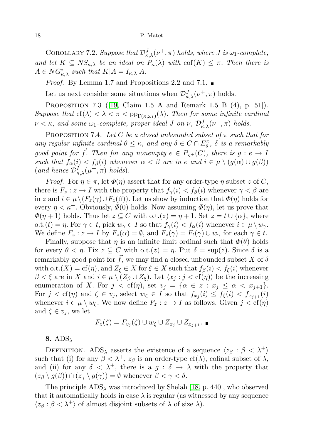COROLLARY 7.2. Suppose that  $\mathcal{D}^J_{\kappa,\lambda}(\nu^+,\pi)$  holds, where J is  $\omega_1$ -complete, and let  $K \subseteq NS_{\kappa,\lambda}$  be an ideal on  $P_{\kappa}(\lambda)$  with  $\overline{\text{cof}}(K) \leq \pi$ . Then there is  $A \in NG_{\kappa,\lambda}^*$  such that  $K|A = I_{\kappa,\lambda}|A$ .

*Proof.* By Lemma 1.7 and Propositions 2.2 and 7.1.

Let us next consider some situations when  $\mathcal{D}^J_{\kappa,\lambda}(\nu^+,\pi)$  holds.

Proposition 7.3 ([\[19,](#page-21-10) Claim 1.5 A and Remark 1.5 B (4), p. 51]). Suppose that  $cf(\lambda) < \lambda < \pi < p_{\Gamma(\kappa,\omega_1)}(\lambda)$ . Then for some infinite cardinal  $\nu<\kappa,$  and some  $\omega_1$ -complete, proper ideal J on  $\nu$ ,  $\mathcal{D}^{J}_{\kappa,\lambda}(\nu^{+},\pi)$  holds.

PROPOSITION 7.4. Let C be a closed unbounded subset of  $\pi$  such that for any regular infinite cardinal  $\theta \leq \kappa$ , and any  $\delta \in C \cap E_{\theta}^{\pi}$ ,  $\delta$  is a remarkably good point for  $\vec{f}$ . Then for any nonempty  $e \in P_{\kappa^+}(C)$ , there is  $g : e \to I$ such that  $f_{\alpha}(i) < f_{\beta}(i)$  whenever  $\alpha < \beta$  are in e and  $i \in \mu \setminus (g(\alpha) \cup g(\beta))$ (and hence  $\mathcal{D}_{\kappa,\lambda}^I(\mu^+,\pi)$  holds).

*Proof.* For  $\eta \in \pi$ , let  $\Phi(\eta)$  assert that for any order-type  $\eta$  subset z of C, there is  $F_z: z \to I$  with the property that  $f_\gamma(i) < f_\beta(i)$  whenever  $\gamma < \beta$  are in z and  $i \in \mu \setminus (F_z(\gamma) \cup F_z(\beta))$ . Let us show by induction that  $\Phi(\eta)$  holds for every  $\eta < \kappa^+$ . Obviously,  $\Phi(0)$  holds. Now assuming  $\Phi(\eta)$ , let us prove that  $\Phi(\eta+1)$  holds. Thus let  $z \subseteq C$  with  $\mathrm{o.t.}(z) = \eta+1$ . Set  $z = t \cup \{\alpha\}$ , where o.t. $(t) = \eta$ . For  $\gamma \in t$ , pick  $w_{\gamma} \in I$  so that  $f_{\gamma}(i) < f_{\alpha}(i)$  whenever  $i \in \mu \setminus w_{\gamma}$ . We define  $F_z: z \to I$  by  $F_z(\alpha) = \emptyset$ , and  $F_z(\gamma) = F_t(\gamma) \cup w_\gamma$  for each  $\gamma \in t$ .

Finally, suppose that  $\eta$  is an infinite limit ordinal such that  $\Phi(\theta)$  holds for every  $\theta < \eta$ . Fix  $z \subseteq C$  with  $\text{o.t.}(z) = \eta$ . Put  $\delta = \sup(z)$ . Since  $\delta$  is a remarkably good point for  $\vec{f}$ , we may find a closed unbounded subset X of  $\delta$ with o.t. $(X) = \text{cf}(\eta)$ , and  $Z_{\xi} \in X$  for  $\xi \in X$  such that  $f_{\beta}(i) < f_{\xi}(i)$  whenever  $\beta < \xi$  are in X and  $i \in \mu \setminus (Z_\beta \cup Z_\xi)$ . Let  $\langle x_j : j < \text{cf}(\eta) \rangle$  be the increasing enumeration of X. For  $j < cf(\eta)$ , set  $v_j = {\alpha \in z : x_j \leq \alpha < x_{j+1}}$ . For  $j < \text{cf}(\eta)$  and  $\zeta \in v_j$ , select  $w_{\zeta} \in I$  so that  $f_{x_j}(i) \leq f_{\zeta}(i) < f_{x_{j+1}}(i)$ whenever  $i \in \mu \setminus w_{\zeta}$ . We now define  $F_z : z \to I$  as follows. Given  $j < \text{cf}(\eta)$ and  $\zeta \in v_j$ , we let

$$
F_z(\zeta) = F_{v_j}(\zeta) \cup w_\zeta \cup Z_{x_j} \cup Z_{x_{j+1}}.
$$

8.  $ADS_{\lambda}$ 

DEFINITION. ADS<sub>λ</sub> asserts the existence of a sequence  $\langle z_\beta : \beta < \lambda^+ \rangle$ such that (i) for any  $\beta < \lambda^+$ ,  $z_\beta$  is an order-type cf( $\lambda$ ), cofinal subset of  $\lambda$ , and (ii) for any  $\delta \langle \lambda^+, \rangle$  there is a  $g : \delta \to \lambda$  with the property that  $(z_{\beta} \setminus g(\beta)) \cap (z_{\gamma} \setminus g(\gamma)) = \emptyset$  whenever  $\beta < \gamma < \delta$ .

The principle  $ADS_{\lambda}$  was introduced by Shelah [\[18,](#page-21-21) p. 440], who observed that it automatically holds in case  $\lambda$  is regular (as witnessed by any sequence  $\langle z_\beta : \beta < \lambda^+ \rangle$  of almost disjoint subsets of  $\lambda$  of size  $\lambda$ ).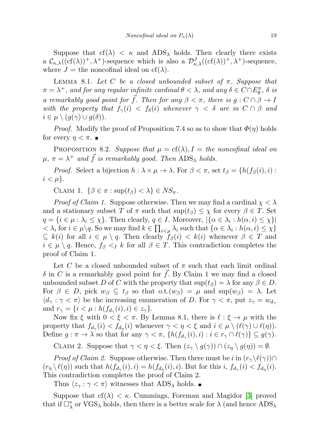Suppose that  $cf(\lambda) < \kappa$  and  $ADS_{\lambda}$  holds. Then clearly there exists a  $\mathcal{C}_{\kappa,\lambda}((cf(\lambda))^+, \lambda^+)$ -sequence which is also a  $\mathcal{D}^J_{\kappa,\lambda}((cf(\lambda))^+, \lambda^+)$ -sequence, where  $J =$  the noncofinal ideal on cf( $\lambda$ ).

LEMMA 8.1. Let C be a closed unbounded subset of  $\pi$ . Suppose that  $\pi = \lambda^+$ , and for any regular infinite cardinal  $\theta < \lambda$ , and any  $\delta \in C \cap E_{\theta}^{\pi}$ ,  $\delta$  is a remarkably good point for  $\vec{f}$ . Then for any  $\beta < \pi$ , there is  $g : C \cap \beta \to I$ with the property that  $f_{\gamma}(i) < f_{\delta}(i)$  whenever  $\gamma < \delta$  are in  $C \cap \beta$  and  $i \in \mu \setminus (g(\gamma) \cup g(\delta)).$ 

*Proof.* Modify the proof of Proposition 7.4 so as to show that  $\Phi(\eta)$  holds for every  $\eta < \pi$ .

PROPOSITION 8.2. Suppose that  $\mu = cf(\lambda), I = the noncofinal ideal$  on  $\mu, \pi = \lambda^+$  and  $\vec{f}$  is remarkably good. Then  $\mathrm{ADS}_\lambda$  holds.

*Proof.* Select a bijection  $h : \lambda \times \mu \to \lambda$ . For  $\beta < \pi$ , set  $t_{\beta} = \{h(f_{\beta}(i), i):$  $i < \mu$ .

CLAIM 1.  $\{\beta \in \pi : \sup(t_\beta) < \lambda\} \in NS_{\pi}$ .

*Proof of Claim 1.* Suppose otherwise. Then we may find a cardinal  $\chi < \lambda$ and a stationary subset T of  $\pi$  such that  $\sup(t_{\beta}) \leq \chi$  for every  $\beta \in T$ . Set  $q = \{i \in \mu : \lambda_i \leq \chi\}$ . Then clearly,  $q \in I$ . Moreover,  $|\{\alpha \in \lambda_i : h(\alpha, i) \leq \chi\}|$  $0 < \lambda_i$  for  $i \in \mu \setminus q$ . So we may find  $k \in \prod_{i < \mu} \lambda_i$  such that  $\{\alpha \in \lambda_i : h(\alpha, i) \leq \chi\}$  $\subseteq$  k(i) for all  $i \in \mu \setminus q$ . Then clearly  $f_{\beta}(i) < k(i)$  whenever  $\beta \in T$  and  $i \in \mu \setminus q$ . Hence,  $f_{\beta} < I$  k for all  $\beta \in T$ . This contradiction completes the proof of Claim 1.

Let C be a closed unbounded subset of  $\pi$  such that each limit ordinal  $\delta$  in C is a remarkably good point for  $\vec{f}$ . By Claim 1 we may find a closed unbounded subset D of C with the property that  $\sup(t_\beta) = \lambda$  for any  $\beta \in D$ . For  $\beta \in D$ , pick  $w_{\beta} \subseteq t_{\beta}$  so that  $\text{o.t.}(w_{\beta}) = \mu$  and  $\text{sup}(w_{\beta}) = \lambda$ . Let  $\langle d_{\gamma} : \gamma < \pi \rangle$  be the increasing enumeration of D. For  $\gamma < \pi$ , put  $z_{\gamma} = w_{d_{\gamma}}$ and  $r_{\gamma} = \{i \leq \mu : h(f_{d_{\gamma}}(i), i) \in z_{\gamma}\}.$ 

Now fix  $\xi$  with  $0 < \xi < \pi$ . By Lemma 8.1, there is  $\ell : \xi \to \mu$  with the property that  $f_{d_{\gamma}}(i) < f_{d_{\eta}}(i)$  whenever  $\gamma < \eta < \xi$  and  $i \in \mu \setminus (\ell(\gamma) \cup \ell(\eta))$ . Define  $g: \pi \to \lambda$  so that for any  $\gamma < \pi$ ,  $\{h(f_{d_\gamma}(i), i) : i \in r_\gamma \cap \ell(\gamma)\} \subseteq g(\gamma)$ .

CLAIM 2. Suppose that  $\gamma < \eta < \xi$ . Then  $(z_\gamma \setminus g(\gamma)) \cap (z_\eta \setminus g(\eta)) = \emptyset$ .

*Proof of Claim 2.* Suppose otherwise. Then there must be i in  $(r_\gamma \setminus \ell(\gamma)) \cap$  $(r_{\eta} \setminus \ell(\eta))$  such that  $h(f_{d_{\gamma}}(i), i) = h(f_{d_{\eta}}(i), i)$ . But for this  $i, f_{d_{\gamma}}(i) < f_{d_{\eta}}(i)$ . This contradiction completes the proof of Claim 2.

Thus  $\langle z_{\gamma} : \gamma < \pi \rangle$  witnesses that ADS<sub>λ</sub> holds.

Suppose that  $cf(\lambda) < \kappa$ . Cummings, Foreman and Magidor [\[3\]](#page-21-9) proved that if  $\Box^*_{\lambda}$  or  $\text{VGS}_{\lambda}$  holds, then there is a better scale for  $\lambda$  (and hence  $\text{ADS}_{\lambda}$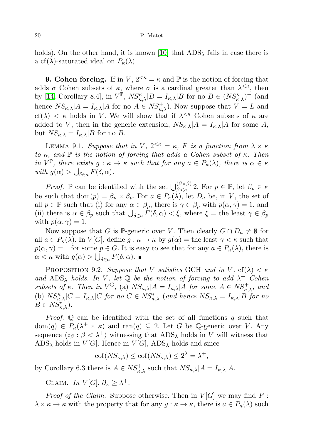holds). On the other hand, it is known [\[10\]](#page-21-5) that  $ADS_{\lambda}$  fails in case there is a cf( $\lambda$ )-saturated ideal on  $P_{\kappa}(\lambda)$ .

**9. Cohen forcing.** If in V,  $2^{< \kappa} = \kappa$  and  $\mathbb{P}$  is the notion of forcing that adds  $\sigma$  Cohen subsets of  $\kappa$ , where  $\sigma$  is a cardinal greater than  $\lambda^{\leq \kappa}$ , then by [\[14,](#page-21-2) Corollary 8.4], in  $V^{\mathbb{P}}, NS_{\kappa,\lambda}^{\kappa} |B = I_{\kappa,\lambda} |B$  for no  $B \in (NS_{\kappa,\lambda}^{\kappa})^+$  (and hence  $NS_{\kappa,\lambda}|A = I_{\kappa,\lambda}|A$  for no  $A \in NS_{\kappa,\lambda}^+$ . Now suppose that  $V = L$  and cf( $\lambda$ )  $\lt$   $\kappa$  holds in V. We will show that if  $\lambda^{\lt}$  Cohen subsets of  $\kappa$  are added to V, then in the generic extension,  $NS_{\kappa,\lambda}|A = I_{\kappa,\lambda}|A|$  for some A, but  $NS_{\kappa,\lambda} = I_{\kappa,\lambda} |B$  for no B.

LEMMA 9.1. Suppose that in V,  $2^{<\kappa} = \kappa$ , F is a function from  $\lambda \times \kappa$ to  $\kappa$ , and  $\mathbb P$  is the notion of forcing that adds a Cohen subset of  $\kappa$ . Then in  $V^{\mathbb{P}}$ , there exists  $g: \kappa \to \kappa$  such that for any  $a \in P_{\kappa}(\lambda)$ , there is  $\alpha \in \kappa$ with  $g(\alpha) > \bigcup_{\delta \in a} F(\delta, \alpha)$ .

*Proof.*  $\mathbb{P}$  can be identified with the set  $\bigcup_{\beta<\kappa}^{(\beta\times\beta)}$  2. For  $p\in\mathbb{P}$ , let  $\beta_p\in\kappa$ be such that  $dom(p) = \beta_p \times \beta_p$ . For  $a \in P_{\kappa}(\lambda)$ , let  $D_a$  be, in V, the set of all  $p \in \mathbb{P}$  such that (i) for any  $\alpha \in \beta_p$ , there is  $\gamma \in \beta_p$  with  $p(\alpha, \gamma) = 1$ , and (ii) there is  $\alpha \in \beta_p$  such that  $\bigcup_{\delta \in a} F(\delta, \alpha) < \xi$ , where  $\xi =$  the least  $\gamma \in \beta_p$ with  $p(\alpha, \gamma) = 1$ .

Now suppose that G is P-generic over V. Then clearly  $G \cap D_a \neq \emptyset$  for all  $a \in P_{\kappa}(\lambda)$ . In  $V[G]$ , define  $g : \kappa \to \kappa$  by  $g(\alpha) =$  the least  $\gamma < \kappa$  such that  $p(\alpha, \gamma) = 1$  for some  $p \in G$ . It is easy to see that for any  $a \in P_{\kappa}(\lambda)$ , there is  $\alpha < \kappa$  with  $g(\alpha) > \bigcup_{\delta \in a} F(\delta, \alpha)$ .

PROPOSITION 9.2. Suppose that V satisfies GCH and in V,  $cf(\lambda) < \kappa$ and ADS<sub> $\lambda$ </sub> holds. In V, let  $\mathbb Q$  be the notion of forcing to add  $\lambda^+$  Cohen subsets of  $\kappa$ . Then in  $V^{\mathbb{Q}}$ , (a)  $NS_{\kappa,\lambda}|A = I_{\kappa,\lambda}|A$  for some  $A \in NS_{\kappa,\lambda}^+$ , and (b)  $NS_{\kappa,\lambda}^{\kappa}|C = I_{\kappa,\lambda}|C$  for no  $C \in NS_{\kappa,\lambda}^*$  (and hence  $NS_{\kappa,\lambda} = I_{\kappa,\lambda}|B$  for no  $B \in NS_{\kappa,\lambda}^{**}$ ).

*Proof.*  $\mathbb Q$  can be identified with the set of all functions q such that  $dom(q) \in P_{\kappa}(\lambda^+ \times \kappa)$  and ran $(q) \subseteq 2$ . Let G be Q-generic over V. Any sequence  $\langle z_\beta : \beta < \lambda^+ \rangle$  witnessing that  $\text{ADS}_{\lambda}$  holds in V will witness that  $ADS_{\lambda}$  holds in  $V[G]$ . Hence in  $V[G]$ , ADS<sub> $\lambda$ </sub> holds and since

 $\overline{\text{cof}}(NS_{\kappa,\lambda}) \leq \text{cof}(NS_{\kappa,\lambda}) \leq 2^{\lambda} = \lambda^{+},$ 

by Corollary 6.3 there is  $A \in NS_{\kappa,\lambda}^+$  such that  $NS_{\kappa,\lambda}|A = I_{\kappa,\lambda}|A$ .

CLAIM. In  $V[G], \overline{\partial}_{\kappa} \geq \lambda^+$ .

*Proof of the Claim.* Suppose otherwise. Then in  $V[G]$  we may find F:  $\lambda \times \kappa \to \kappa$  with the property that for any  $g : \kappa \to \kappa$ , there is  $a \in P_{\kappa}(\lambda)$  such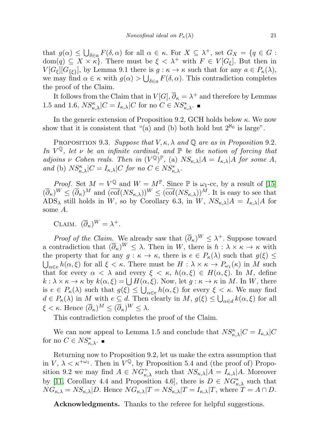that  $g(\alpha) \leq \bigcup_{\delta \in a} F(\delta, \alpha)$  for all  $\alpha \in \kappa$ . For  $X \subseteq \lambda^+$ , set  $G_X = \{q \in G :$  $dom(q) \subseteq X \times \kappa$ . There must be  $\xi < \lambda^+$  with  $F \in V[G_{\xi}]$ . But then in  $V[G_{\xi}][G_{\{\xi\}}],$  by Lemma 9.1 there is  $g : \kappa \to \kappa$  such that for any  $a \in P_{\kappa}(\lambda),$ we may find  $\alpha \in \kappa$  with  $g(\alpha) > \bigcup_{\delta \in a} F(\delta, \alpha)$ . This contradiction completes the proof of the Claim.

It follows from the Claim that in  $V[G], \overline{\partial}_{\kappa} = \lambda^+$  and therefore by Lemmas 1.5 and 1.6,  $NS_{\kappa,\lambda}^{\kappa}|C = I_{\kappa,\lambda}|C$  for no  $C \in NS_{\kappa,\lambda}^*$ .

In the generic extension of Proposition 9.2, GCH holds below  $\kappa$ . We now show that it is consistent that "(a) and (b) both hold but  $2^{\aleph_0}$  is large".

PROPOSITION 9.3. Suppose that  $V, \kappa, \lambda$  and  $\mathbb Q$  are as in Proposition 9.2. In  $V^{\mathbb{Q}}$ , let  $\nu$  be an infinite cardinal, and  $\mathbb{P}$  be the notion of forcing that adjoins v Cohen reals. Then in  $(V^{\mathbb{Q}})^{\mathbb{P}}$ , (a)  $NS_{\kappa,\lambda}|A = I_{\kappa,\lambda}|A$  for some A, and (b)  $NS_{\kappa,\lambda}^{\kappa}|C = I_{\kappa,\lambda}|C$  for no  $C \in NS_{\kappa,\lambda}^*$ .

*Proof.* Set  $M = V^{\mathbb{Q}}$  and  $W = M^{\mathbb{P}}$ . Since  $\mathbb{P}$  is  $\omega_1$ -cc, by a result of [\[15\]](#page-21-3)  $(\overline{\partial}_{\kappa})^W \leq (\overline{\partial}_{\kappa})^M$  and  $(\overline{\text{cof}}(NS_{\kappa,\lambda}))^W \leq (\overline{\text{cof}}(NS_{\kappa,\lambda}))^M$ . It is easy to see that ADS<sub> $\lambda$ </sub> still holds in W, so by Corollary 6.3, in W,  $NS_{\kappa,\lambda}|A = I_{\kappa,\lambda}|A|$  for some A.

CLAIM.  $(\overline{\partial}_{\kappa})^W = \lambda^+$ .

*Proof of the Claim.* We already saw that  $(\overline{\partial}_{\kappa})^W \leq \lambda^+$ . Suppose toward a contradiction that  $(\overline{\partial}_{\kappa})^W \leq \lambda$ . Then in W, there is  $h : \lambda \times \kappa \to \kappa$  with the property that for any  $g : \kappa \to \kappa$ , there is  $e \in P_{\kappa}(\lambda)$  such that  $g(\xi) \leq$  $\bigcup_{\alpha \in e} h(\alpha, \xi)$  for all  $\xi < \kappa$ . There must be  $H : \lambda \times \kappa \to P_{\omega_1}(\kappa)$  in M such that for every  $\alpha < \lambda$  and every  $\xi < \kappa$ ,  $h(\alpha, \xi) \in H(\alpha, \xi)$ . In M, define  $k : \lambda \times \kappa \to \kappa$  by  $k(\alpha, \xi) = \bigcup H(\alpha, \xi)$ . Now, let  $g : \kappa \to \kappa$  in M. In W, there is  $e \in P_{\kappa}(\lambda)$  such that  $g(\xi) \leq \bigcup_{\alpha \in e} h(\alpha, \xi)$  for every  $\xi < \kappa$ . We may find  $d \in P_{\kappa}(\lambda)$  in M with  $e \subseteq d$ . Then clearly in  $M, g(\xi) \leq \bigcup_{\alpha \in d} k(\alpha, \xi)$  for all  $\xi < \kappa$ . Hence  $(\overline{\partial}_{\kappa})^M \leq (\overline{\partial}_{\kappa})^W \leq \lambda$ .

This contradiction completes the proof of the Claim.

We can now appeal to Lemma 1.5 and conclude that  $NS_{\kappa,\lambda}^{\kappa}|C = I_{\kappa,\lambda}|C$ for no  $C \in NS^*_{\kappa,\lambda}$ .

Returning now to Proposition 9.2, let us make the extra assumption that in  $V, \lambda < \kappa^{\pm \omega_1}$ . Then in  $V^{\mathbb{Q}}$ , by Proposition 5.4 and (the proof of) Proposition 9.2 we may find  $A \in NG_{\kappa,\lambda}^+$  such that  $NS_{\kappa,\lambda}|A = I_{\kappa,\lambda}|A$ . Moreover by [\[11,](#page-21-7) Corollary 4.4 and Proposition 4.6], there is  $D \in NG_{\kappa,\lambda}^*$  such that  $NG_{\kappa,\lambda} = NS_{\kappa,\lambda} |D$ . Hence  $NG_{\kappa,\lambda} |T = NS_{\kappa,\lambda} |T = I_{\kappa,\lambda} |T$ , where  $T = A \cap D$ .

Acknowledgments. Thanks to the referee for helpful suggestions.